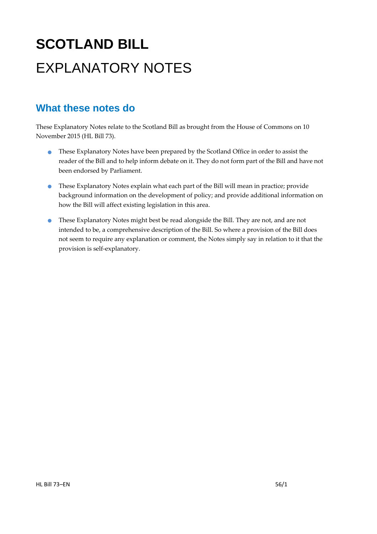# **SCOTLAND BILL**  EXPLANATORY NOTES

## **What these notes do**

- **•** These Explanatory Notes have been prepared by the Scotland Office in order to assist the reader of the Bill and to help inform debate on it. They do not form part of the Bill and have not been endorsed by Parliament.
- These Explanatory Notes explain what each part of the Bill will mean in practice; provide background information on the development of policy; and provide additional information on how the Bill will affect existing legislation in this area.
- These Explanatory Notes might best be read alongside the Bill. They are not, and are not intended to be, a comprehensive description of the Bill. So where a provision of the Bill does not seem to require any explanation or comment, the Notes simply say in relation to it that the provision is self‐explanatory.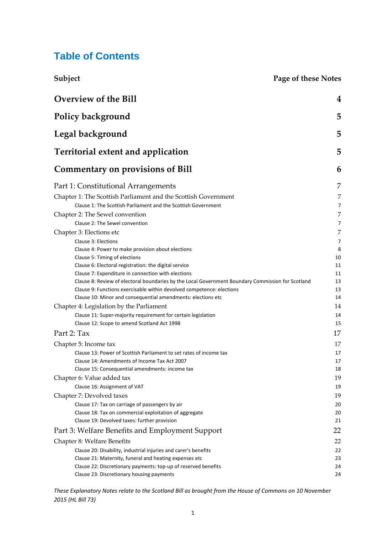## **Table of Contents**

| Subject | Page of these Notes |
|---------|---------------------|
|         |                     |

| <b>Overview of the Bill</b><br>Policy background<br>Legal background                              |    |                                           |   |
|---------------------------------------------------------------------------------------------------|----|-------------------------------------------|---|
|                                                                                                   |    | <b>Territorial extent and application</b> | 5 |
|                                                                                                   |    | <b>Commentary on provisions of Bill</b>   | 6 |
| Part 1: Constitutional Arrangements                                                               | 7  |                                           |   |
| Chapter 1: The Scottish Parliament and the Scottish Government                                    | 7  |                                           |   |
| Clause 1: The Scottish Parliament and the Scottish Government                                     | 7  |                                           |   |
| Chapter 2: The Sewel convention                                                                   | 7  |                                           |   |
| Clause 2: The Sewel convention                                                                    | 7  |                                           |   |
| Chapter 3: Elections etc                                                                          | 7  |                                           |   |
| Clause 3: Elections                                                                               | 7  |                                           |   |
| Clause 4: Power to make provision about elections                                                 | 8  |                                           |   |
| Clause 5: Timing of elections                                                                     | 10 |                                           |   |
| Clause 6: Electoral registration: the digital service                                             | 11 |                                           |   |
| Clause 7: Expenditure in connection with elections                                                | 11 |                                           |   |
| Clause 8: Review of electoral boundaries by the Local Government Boundary Commission for Scotland | 13 |                                           |   |
| Clause 9: Functions exercisable within devolved competence: elections                             | 13 |                                           |   |
| Clause 10: Minor and consequential amendments: elections etc                                      | 14 |                                           |   |
| Chapter 4: Legislation by the Parliament                                                          | 14 |                                           |   |
| Clause 11: Super-majority requirement for certain legislation                                     | 14 |                                           |   |
| Clause 12: Scope to amend Scotland Act 1998                                                       | 15 |                                           |   |
| Part 2: Tax                                                                                       | 17 |                                           |   |
| Chapter 5: Income tax                                                                             |    |                                           |   |
| Clause 13: Power of Scottish Parliament to set rates of income tax                                | 17 |                                           |   |
| Clause 14: Amendments of Income Tax Act 2007                                                      | 17 |                                           |   |
| Clause 15: Consequential amendments: income tax                                                   | 18 |                                           |   |
| Chapter 6: Value added tax                                                                        | 19 |                                           |   |
| Clause 16: Assignment of VAT                                                                      | 19 |                                           |   |
| Chapter 7: Devolved taxes                                                                         | 19 |                                           |   |
| Clause 17: Tax on carriage of passengers by air                                                   | 20 |                                           |   |
| Clause 18: Tax on commercial exploitation of aggregate                                            | 20 |                                           |   |
| Clause 19: Devolved taxes: further provision                                                      | 21 |                                           |   |
| Part 3: Welfare Benefits and Employment Support                                                   | 22 |                                           |   |
| Chapter 8: Welfare Benefits                                                                       | 22 |                                           |   |
| Clause 20: Disability, industrial injuries and carer's benefits                                   | 22 |                                           |   |
| Clause 21: Maternity, funeral and heating expenses etc                                            | 23 |                                           |   |
| Clause 22: Discretionary payments: top-up of reserved benefits                                    | 24 |                                           |   |
| Clause 23: Discretionary housing payments                                                         | 24 |                                           |   |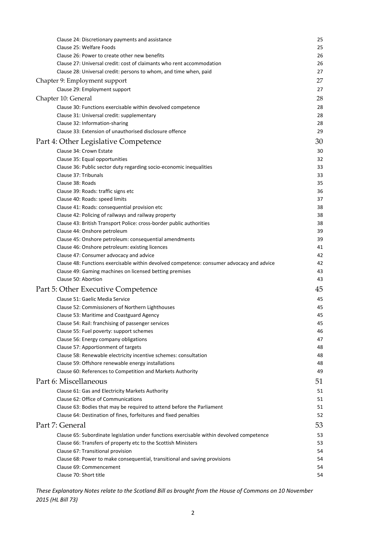| Clause 24: Discretionary payments and assistance                                          | 25 |  |
|-------------------------------------------------------------------------------------------|----|--|
| Clause 25: Welfare Foods                                                                  |    |  |
| Clause 26: Power to create other new benefits                                             | 26 |  |
| Clause 27: Universal credit: cost of claimants who rent accommodation                     | 26 |  |
| Clause 28: Universal credit: persons to whom, and time when, paid                         | 27 |  |
| Chapter 9: Employment support                                                             | 27 |  |
| Clause 29: Employment support                                                             | 27 |  |
| Chapter 10: General                                                                       | 28 |  |
| Clause 30: Functions exercisable within devolved competence                               | 28 |  |
| Clause 31: Universal credit: supplementary                                                | 28 |  |
| Clause 32: Information-sharing                                                            | 28 |  |
| Clause 33: Extension of unauthorised disclosure offence                                   | 29 |  |
| Part 4: Other Legislative Competence                                                      | 30 |  |
| Clause 34: Crown Estate                                                                   | 30 |  |
| Clause 35: Equal opportunities                                                            | 32 |  |
| Clause 36: Public sector duty regarding socio-economic inequalities                       | 33 |  |
| Clause 37: Tribunals                                                                      | 33 |  |
| Clause 38: Roads                                                                          | 35 |  |
| Clause 39: Roads: traffic signs etc                                                       | 36 |  |
| Clause 40: Roads: speed limits                                                            | 37 |  |
| Clause 41: Roads: consequential provision etc                                             | 38 |  |
| Clause 42: Policing of railways and railway property                                      | 38 |  |
| Clause 43: British Transport Police: cross-border public authorities                      | 38 |  |
| Clause 44: Onshore petroleum                                                              | 39 |  |
| Clause 45: Onshore petroleum: consequential amendments                                    | 39 |  |
| Clause 46: Onshore petroleum: existing licences                                           | 41 |  |
| Clause 47: Consumer advocacy and advice                                                   | 42 |  |
| Clause 48: Functions exercisable within devolved competence: consumer advocacy and advice | 42 |  |
| Clause 49: Gaming machines on licensed betting premises                                   | 43 |  |
| Clause 50: Abortion                                                                       | 43 |  |
| Part 5: Other Executive Competence                                                        | 45 |  |
| Clause 51: Gaelic Media Service                                                           | 45 |  |
| Clause 52: Commissioners of Northern Lighthouses                                          | 45 |  |
| Clause 53: Maritime and Coastguard Agency                                                 | 45 |  |
| Clause 54: Rail: franchising of passenger services                                        | 45 |  |
| Clause 55: Fuel poverty: support schemes                                                  | 46 |  |
| Clause 56: Energy company obligations                                                     | 47 |  |
| Clause 57: Apportionment of targets                                                       | 48 |  |
| Clause 58: Renewable electricity incentive schemes: consultation                          | 48 |  |
| Clause 59: Offshore renewable energy installations                                        | 48 |  |
| Clause 60: References to Competition and Markets Authority                                | 49 |  |
| Part 6: Miscellaneous                                                                     | 51 |  |
| Clause 61: Gas and Electricity Markets Authority                                          | 51 |  |
| Clause 62: Office of Communications                                                       | 51 |  |
| Clause 63: Bodies that may be required to attend before the Parliament                    | 51 |  |
| Clause 64: Destination of fines, forfeitures and fixed penalties                          | 52 |  |
| Part 7: General                                                                           | 53 |  |
| Clause 65: Subordinate legislation under functions exercisable within devolved competence | 53 |  |
| Clause 66: Transfers of property etc to the Scottish Ministers                            | 53 |  |
| Clause 67: Transitional provision                                                         | 54 |  |
| Clause 68: Power to make consequential, transitional and saving provisions                | 54 |  |
| Clause 69: Commencement                                                                   | 54 |  |
| Clause 70: Short title                                                                    | 54 |  |
|                                                                                           |    |  |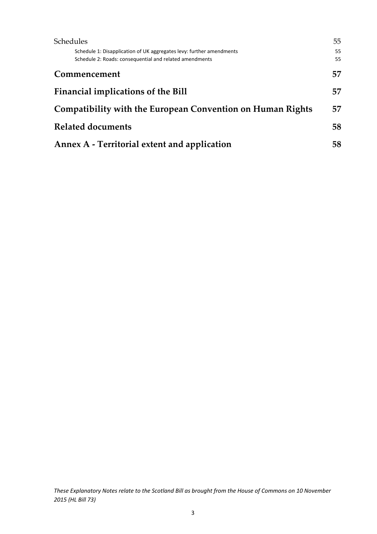| Schedules                                                                                                                       | 55       |
|---------------------------------------------------------------------------------------------------------------------------------|----------|
| Schedule 1: Disapplication of UK aggregates levy: further amendments<br>Schedule 2: Roads: consequential and related amendments | 55<br>55 |
| Commencement                                                                                                                    | 57       |
| Financial implications of the Bill                                                                                              | 57       |
| Compatibility with the European Convention on Human Rights                                                                      |          |
| Related documents                                                                                                               |          |
| Annex A - Territorial extent and application                                                                                    |          |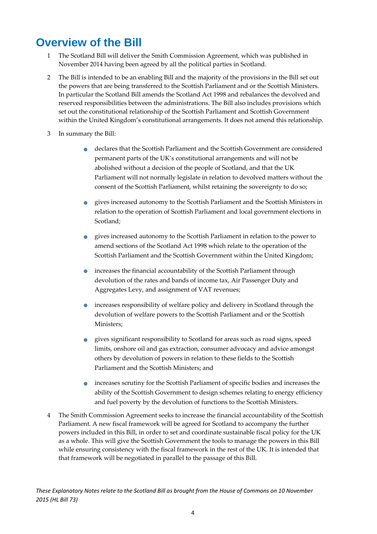## **Overview of the Bill**

- 1 The Scotland Bill will deliver the Smith Commission Agreement, which was published in November 2014 having been agreed by all the political parties in Scotland.
- 2 The Bill is intended to be an enabling Bill and the majority of the provisions in the Bill set out the powers that are being transferred to the Scottish Parliament and or the Scottish Ministers. In particular the Scotland Bill amends the Scotland Act 1998 and rebalances the devolved and reserved responsibilities between the administrations. The Bill also includes provisions which set out the constitutional relationship of the Scottish Parliament and Scottish Government within the United Kingdom's constitutional arrangements. It does not amend this relationship.
- 3 In summary the Bill:
	- declares that the Scottish Parliament and the Scottish Government are considered permanent parts of the UK's constitutional arrangements and will not be abolished without a decision of the people of Scotland, and that the UK Parliament will not normally legislate in relation to devolved matters without the consent of the Scottish Parliament, whilst retaining the sovereignty to do so;
	- gives increased autonomy to the Scottish Parliament and the Scottish Ministers in relation to the operation of Scottish Parliament and local government elections in Scotland;
	- gives increased autonomy to the Scottish Parliament in relation to the power to amend sections of the Scotland Act 1998 which relate to the operation of the Scottish Parliament and the Scottish Government within the United Kingdom;
	- increases the financial accountability of the Scottish Parliament through devolution of the rates and bands of income tax, Air Passenger Duty and Aggregates Levy, and assignment of VAT revenues;
	- increases responsibility of welfare policy and delivery in Scotland through the devolution of welfare powers to the Scottish Parliament and or the Scottish Ministers;
	- gives significant responsibility to Scotland for areas such as road signs, speed limits, onshore oil and gas extraction, consumer advocacy and advice amongst others by devolution of powers in relation to these fields to the Scottish Parliament and the Scottish Ministers; and
	- increases scrutiny for the Scottish Parliament of specific bodies and increases the ability of the Scottish Government to design schemes relating to energy efficiency and fuel poverty by the devolution of functions to the Scottish Ministers.
- 4 The Smith Commission Agreement seeks to increase the financial accountability of the Scottish Parliament. A new fiscal framework will be agreed for Scotland to accompany the further powers included in this Bill, in order to set and coordinate sustainable fiscal policy for the UK as a whole. This will give the Scottish Government the tools to manage the powers in this Bill while ensuring consistency with the fiscal framework in the rest of the UK. It is intended that that framework will be negotiated in parallel to the passage of this Bill.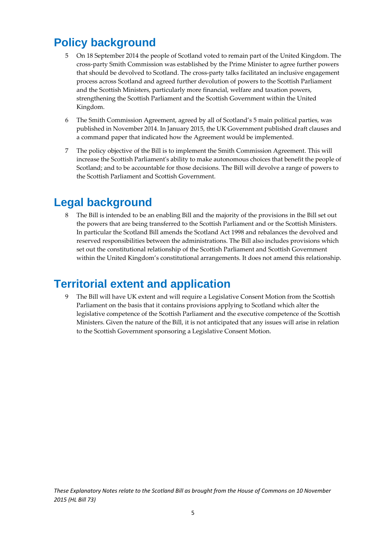## **Policy background**

- 5 On 18 September 2014 the people of Scotland voted to remain part of the United Kingdom. The cross‐party Smith Commission was established by the Prime Minister to agree further powers that should be devolved to Scotland. The cross‐party talks facilitated an inclusive engagement process across Scotland and agreed further devolution of powers to the Scottish Parliament and the Scottish Ministers, particularly more financial, welfare and taxation powers, strengthening the Scottish Parliament and the Scottish Government within the United Kingdom.
- 6 The Smith Commission Agreement, agreed by all of Scotland's 5 main political parties, was published in November 2014. In January 2015, the UK Government published draft clauses and a command paper that indicated how the Agreement would be implemented.
- 7 The policy objective of the Bill is to implement the Smith Commission Agreement. This will increase the Scottish Parliamentʹs ability to make autonomous choices that benefit the people of Scotland; and to be accountable for those decisions. The Bill will devolve a range of powers to the Scottish Parliament and Scottish Government.

## **Legal background**

The Bill is intended to be an enabling Bill and the majority of the provisions in the Bill set out the powers that are being transferred to the Scottish Parliament and or the Scottish Ministers. In particular the Scotland Bill amends the Scotland Act 1998 and rebalances the devolved and reserved responsibilities between the administrations. The Bill also includes provisions which set out the constitutional relationship of the Scottish Parliament and Scottish Government within the United Kingdom's constitutional arrangements. It does not amend this relationship.

## **Territorial extent and application**

The Bill will have UK extent and will require a Legislative Consent Motion from the Scottish Parliament on the basis that it contains provisions applying to Scotland which alter the legislative competence of the Scottish Parliament and the executive competence of the Scottish Ministers. Given the nature of the Bill, it is not anticipated that any issues will arise in relation to the Scottish Government sponsoring a Legislative Consent Motion.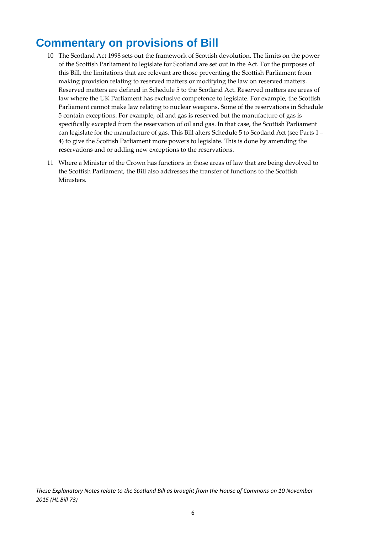## **Commentary on provisions of Bill**

- 10 The Scotland Act 1998 sets out the framework of Scottish devolution. The limits on the power of the Scottish Parliament to legislate for Scotland are set out in the Act. For the purposes of this Bill, the limitations that are relevant are those preventing the Scottish Parliament from making provision relating to reserved matters or modifying the law on reserved matters. Reserved matters are defined in Schedule 5 to the Scotland Act. Reserved matters are areas of law where the UK Parliament has exclusive competence to legislate. For example, the Scottish Parliament cannot make law relating to nuclear weapons. Some of the reservations in Schedule 5 contain exceptions. For example, oil and gas is reserved but the manufacture of gas is specifically excepted from the reservation of oil and gas. In that case, the Scottish Parliament can legislate for the manufacture of gas. This Bill alters Schedule 5 to Scotland Act (see Parts 1 – 4) to give the Scottish Parliament more powers to legislate. This is done by amending the reservations and or adding new exceptions to the reservations.
- 11 Where a Minister of the Crown has functions in those areas of law that are being devolved to the Scottish Parliament, the Bill also addresses the transfer of functions to the Scottish Ministers.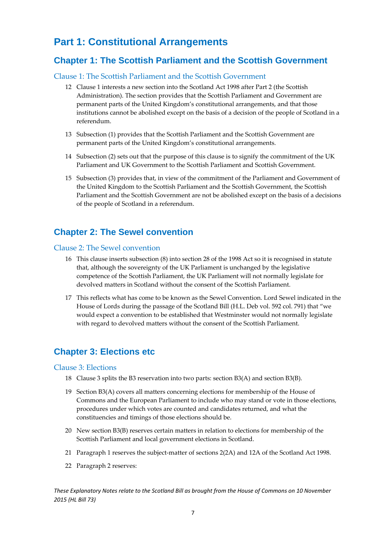### **Part 1: Constitutional Arrangements**

### **Chapter 1: The Scottish Parliament and the Scottish Government**

#### Clause 1: The Scottish Parliament and the Scottish Government

- 12 Clause 1 interests a new section into the Scotland Act 1998 after Part 2 (the Scottish Administration). The section provides that the Scottish Parliament and Government are permanent parts of the United Kingdom's constitutional arrangements, and that those institutions cannot be abolished except on the basis of a decision of the people of Scotland in a referendum.
- 13 Subsection (1) provides that the Scottish Parliament and the Scottish Government are permanent parts of the United Kingdom's constitutional arrangements.
- 14 Subsection (2) sets out that the purpose of this clause is to signify the commitment of the UK Parliament and UK Government to the Scottish Parliament and Scottish Government.
- 15 Subsection (3) provides that, in view of the commitment of the Parliament and Government of the United Kingdom to the Scottish Parliament and the Scottish Government, the Scottish Parliament and the Scottish Government are not be abolished except on the basis of a decisions of the people of Scotland in a referendum.

### **Chapter 2: The Sewel convention**

#### Clause 2: The Sewel convention

- 16 This clause inserts subsection (8) into section 28 of the 1998 Act so it is recognised in statute that, although the sovereignty of the UK Parliament is unchanged by the legislative competence of the Scottish Parliament, the UK Parliament will not normally legislate for devolved matters in Scotland without the consent of the Scottish Parliament.
- 17 This reflects what has come to be known as the Sewel Convention. Lord Sewel indicated in the House of Lords during the passage of the Scotland Bill (H.L. Deb vol. 592 col. 791) that "we would expect a convention to be established that Westminster would not normally legislate with regard to devolved matters without the consent of the Scottish Parliament.

### **Chapter 3: Elections etc**

#### Clause 3: Elections

- 18 Clause 3 splits the B3 reservation into two parts: section B3(A) and section B3(B).
- 19 Section B3(A) covers all matters concerning elections for membership of the House of Commons and the European Parliament to include who may stand or vote in those elections, procedures under which votes are counted and candidates returned, and what the constituencies and timings of those elections should be.
- 20 New section B3(B) reserves certain matters in relation to elections for membership of the Scottish Parliament and local government elections in Scotland.
- 21 Paragraph 1 reserves the subject-matter of sections 2(2A) and 12A of the Scotland Act 1998.
- 22 Paragraph 2 reserves: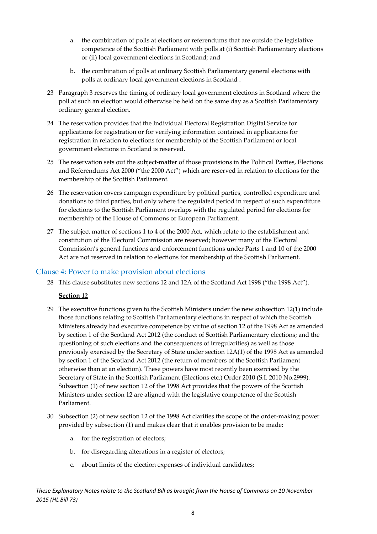- a. the combination of polls at elections or referendums that are outside the legislative competence of the Scottish Parliament with polls at (i) Scottish Parliamentary elections or (ii) local government elections in Scotland; and
- b. the combination of polls at ordinary Scottish Parliamentary general elections with polls at ordinary local government elections in Scotland .
- 23 Paragraph 3 reserves the timing of ordinary local government elections in Scotland where the poll at such an election would otherwise be held on the same day as a Scottish Parliamentary ordinary general election.
- 24 The reservation provides that the Individual Electoral Registration Digital Service for applications for registration or for verifying information contained in applications for registration in relation to elections for membership of the Scottish Parliament or local government elections in Scotland is reserved.
- 25 The reservation sets out the subject-matter of those provisions in the Political Parties, Elections and Referendums Act 2000 ("the 2000 Act") which are reserved in relation to elections for the membership of the Scottish Parliament.
- 26 The reservation covers campaign expenditure by political parties, controlled expenditure and donations to third parties, but only where the regulated period in respect of such expenditure for elections to the Scottish Parliament overlaps with the regulated period for elections for membership of the House of Commons or European Parliament.
- 27 The subject matter of sections 1 to 4 of the 2000 Act, which relate to the establishment and constitution of the Electoral Commission are reserved; however many of the Electoral Commission's general functions and enforcement functions under Parts 1 and 10 of the 2000 Act are not reserved in relation to elections for membership of the Scottish Parliament.

#### Clause 4: Power to make provision about elections

28 This clause substitutes new sections 12 and 12A of the Scotland Act 1998 ("the 1998 Act").

#### **Section 12**

- 29 The executive functions given to the Scottish Ministers under the new subsection 12(1) include those functions relating to Scottish Parliamentary elections in respect of which the Scottish Ministers already had executive competence by virtue of section 12 of the 1998 Act as amended by section 1 of the Scotland Act 2012 (the conduct of Scottish Parliamentary elections; and the questioning of such elections and the consequences of irregularities) as well as those previously exercised by the Secretary of State under section 12A(1) of the 1998 Act as amended by section 1 of the Scotland Act 2012 (the return of members of the Scottish Parliament otherwise than at an election). These powers have most recently been exercised by the Secretary of State in the Scottish Parliament (Elections etc.) Order 2010 (S.I. 2010 No.2999). Subsection (1) of new section 12 of the 1998 Act provides that the powers of the Scottish Ministers under section 12 are aligned with the legislative competence of the Scottish Parliament.
- 30 Subsection (2) of new section 12 of the 1998 Act clarifies the scope of the order‐making power provided by subsection (1) and makes clear that it enables provision to be made:
	- a. for the registration of electors;
	- b. for disregarding alterations in a register of electors;
	- c. about limits of the election expenses of individual candidates;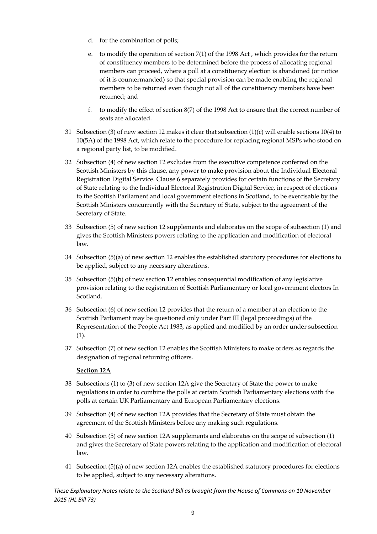- d. for the combination of polls;
- e. to modify the operation of section 7(1) of the 1998 Act , which provides for the return of constituency members to be determined before the process of allocating regional members can proceed, where a poll at a constituency election is abandoned (or notice of it is countermanded) so that special provision can be made enabling the regional members to be returned even though not all of the constituency members have been returned; and
- f. to modify the effect of section 8(7) of the 1998 Act to ensure that the correct number of seats are allocated.
- 31 Subsection (3) of new section 12 makes it clear that subsection (1)(c) will enable sections 10(4) to 10(5A) of the 1998 Act, which relate to the procedure for replacing regional MSPs who stood on a regional party list, to be modified.
- 32 Subsection (4) of new section 12 excludes from the executive competence conferred on the Scottish Ministers by this clause, any power to make provision about the Individual Electoral Registration Digital Service. Clause 6 separately provides for certain functions of the Secretary of State relating to the Individual Electoral Registration Digital Service, in respect of elections to the Scottish Parliament and local government elections in Scotland, to be exercisable by the Scottish Ministers concurrently with the Secretary of State, subject to the agreement of the Secretary of State.
- 33 Subsection (5) of new section 12 supplements and elaborates on the scope of subsection (1) and gives the Scottish Ministers powers relating to the application and modification of electoral law.
- 34 Subsection (5)(a) of new section 12 enables the established statutory procedures for elections to be applied, subject to any necessary alterations.
- 35 Subsection (5)(b) of new section 12 enables consequential modification of any legislative provision relating to the registration of Scottish Parliamentary or local government electors In Scotland.
- 36 Subsection (6) of new section 12 provides that the return of a member at an election to the Scottish Parliament may be questioned only under Part III (legal proceedings) of the Representation of the People Act 1983, as applied and modified by an order under subsection (1).
- 37 Subsection (7) of new section 12 enables the Scottish Ministers to make orders as regards the designation of regional returning officers.

#### **Section 12A**

- 38 Subsections (1) to (3) of new section 12A give the Secretary of State the power to make regulations in order to combine the polls at certain Scottish Parliamentary elections with the polls at certain UK Parliamentary and European Parliamentary elections.
- 39 Subsection (4) of new section 12A provides that the Secretary of State must obtain the agreement of the Scottish Ministers before any making such regulations.
- 40 Subsection (5) of new section 12A supplements and elaborates on the scope of subsection (1) and gives the Secretary of State powers relating to the application and modification of electoral law.
- 41 Subsection (5)(a) of new section 12A enables the established statutory procedures for elections to be applied, subject to any necessary alterations.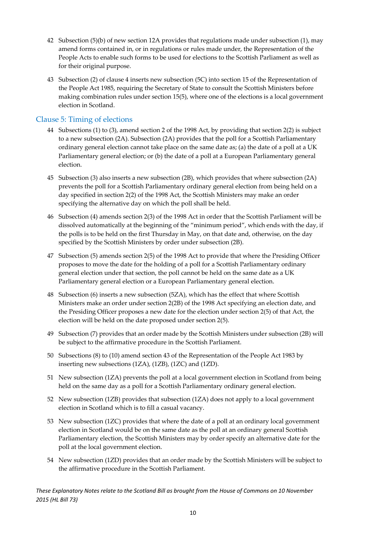- 42 Subsection (5)(b) of new section 12A provides that regulations made under subsection (1), may amend forms contained in, or in regulations or rules made under, the Representation of the People Acts to enable such forms to be used for elections to the Scottish Parliament as well as for their original purpose.
- 43 Subsection (2) of clause 4 inserts new subsection (5C) into section 15 of the Representation of the People Act 1985, requiring the Secretary of State to consult the Scottish Ministers before making combination rules under section 15(5), where one of the elections is a local government election in Scotland.

#### Clause 5: Timing of elections

- 44 Subsections (1) to (3), amend section 2 of the 1998 Act, by providing that section 2(2) is subject to a new subsection (2A). Subsection (2A) provides that the poll for a Scottish Parliamentary ordinary general election cannot take place on the same date as; (a) the date of a poll at a UK Parliamentary general election; or (b) the date of a poll at a European Parliamentary general election.
- 45 Subsection (3) also inserts a new subsection (2B), which provides that where subsection (2A) prevents the poll for a Scottish Parliamentary ordinary general election from being held on a day specified in section 2(2) of the 1998 Act, the Scottish Ministers may make an order specifying the alternative day on which the poll shall be held.
- 46 Subsection (4) amends section 2(3) of the 1998 Act in order that the Scottish Parliament will be dissolved automatically at the beginning of the "minimum period", which ends with the day, if the polls is to be held on the first Thursday in May, on that date and, otherwise, on the day specified by the Scottish Ministers by order under subsection (2B).
- 47 Subsection (5) amends section 2(5) of the 1998 Act to provide that where the Presiding Officer proposes to move the date for the holding of a poll for a Scottish Parliamentary ordinary general election under that section, the poll cannot be held on the same date as a UK Parliamentary general election or a European Parliamentary general election.
- 48 Subsection (6) inserts a new subsection (5ZA), which has the effect that where Scottish Ministers make an order under section 2(2B) of the 1998 Act specifying an election date, and the Presiding Officer proposes a new date for the election under section 2(5) of that Act, the election will be held on the date proposed under section 2(5).
- 49 Subsection (7) provides that an order made by the Scottish Ministers under subsection (2B) will be subject to the affirmative procedure in the Scottish Parliament.
- 50 Subsections (8) to (10) amend section 43 of the Representation of the People Act 1983 by inserting new subsections (1ZA), (1ZB), (1ZC) and (1ZD).
- 51 New subsection (1ZA) prevents the poll at a local government election in Scotland from being held on the same day as a poll for a Scottish Parliamentary ordinary general election.
- 52 New subsection (1ZB) provides that subsection (1ZA) does not apply to a local government election in Scotland which is to fill a casual vacancy.
- 53 New subsection (1ZC) provides that where the date of a poll at an ordinary local government election in Scotland would be on the same date as the poll at an ordinary general Scottish Parliamentary election, the Scottish Ministers may by order specify an alternative date for the poll at the local government election.
- 54 New subsection (1ZD) provides that an order made by the Scottish Ministers will be subject to the affirmative procedure in the Scottish Parliament.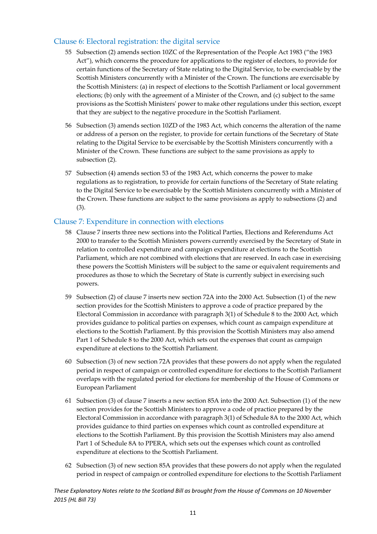#### Clause 6: Electoral registration: the digital service

- 55 Subsection (2) amends section 10ZC of the Representation of the People Act 1983 ("the 1983 Act"), which concerns the procedure for applications to the register of electors, to provide for certain functions of the Secretary of State relating to the Digital Service, to be exercisable by the Scottish Ministers concurrently with a Minister of the Crown. The functions are exercisable by the Scottish Ministers: (a) in respect of elections to the Scottish Parliament or local government elections; (b) only with the agreement of a Minister of the Crown, and (c) subject to the same provisions as the Scottish Ministersʹ power to make other regulations under this section, except that they are subject to the negative procedure in the Scottish Parliament.
- 56 Subsection (3) amends section 10ZD of the 1983 Act, which concerns the alteration of the name or address of a person on the register, to provide for certain functions of the Secretary of State relating to the Digital Service to be exercisable by the Scottish Ministers concurrently with a Minister of the Crown. These functions are subject to the same provisions as apply to subsection (2).
- 57 Subsection (4) amends section 53 of the 1983 Act, which concerns the power to make regulations as to registration, to provide for certain functions of the Secretary of State relating to the Digital Service to be exercisable by the Scottish Ministers concurrently with a Minister of the Crown. These functions are subject to the same provisions as apply to subsections (2) and (3).

#### Clause 7: Expenditure in connection with elections

- 58 Clause 7 inserts three new sections into the Political Parties, Elections and Referendums Act 2000 to transfer to the Scottish Ministers powers currently exercised by the Secretary of State in relation to controlled expenditure and campaign expenditure at elections to the Scottish Parliament, which are not combined with elections that are reserved. In each case in exercising these powers the Scottish Ministers will be subject to the same or equivalent requirements and procedures as those to which the Secretary of State is currently subject in exercising such powers.
- 59 Subsection (2) of clause 7 inserts new section 72A into the 2000 Act. Subsection (1) of the new section provides for the Scottish Ministers to approve a code of practice prepared by the Electoral Commission in accordance with paragraph 3(1) of Schedule 8 to the 2000 Act, which provides guidance to political parties on expenses, which count as campaign expenditure at elections to the Scottish Parliament. By this provision the Scottish Ministers may also amend Part 1 of Schedule 8 to the 2000 Act, which sets out the expenses that count as campaign expenditure at elections to the Scottish Parliament.
- 60 Subsection (3) of new section 72A provides that these powers do not apply when the regulated period in respect of campaign or controlled expenditure for elections to the Scottish Parliament overlaps with the regulated period for elections for membership of the House of Commons or European Parliament
- 61 Subsection (3) of clause 7 inserts a new section 85A into the 2000 Act. Subsection (1) of the new section provides for the Scottish Ministers to approve a code of practice prepared by the Electoral Commission in accordance with paragraph 3(1) of Schedule 8A to the 2000 Act, which provides guidance to third parties on expenses which count as controlled expenditure at elections to the Scottish Parliament. By this provision the Scottish Ministers may also amend Part 1 of Schedule 8A to PPERA, which sets out the expenses which count as controlled expenditure at elections to the Scottish Parliament.
- 62 Subsection (3) of new section 85A provides that these powers do not apply when the regulated period in respect of campaign or controlled expenditure for elections to the Scottish Parliament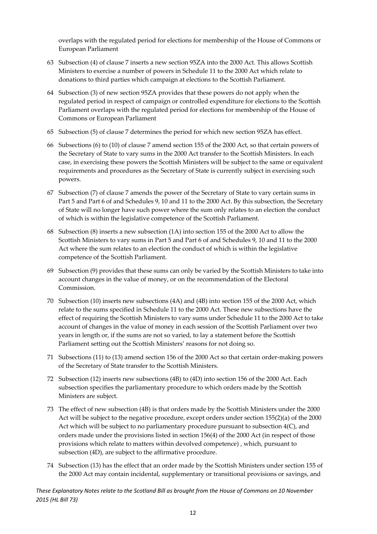overlaps with the regulated period for elections for membership of the House of Commons or European Parliament

- 63 Subsection (4) of clause 7 inserts a new section 95ZA into the 2000 Act. This allows Scottish Ministers to exercise a number of powers in Schedule 11 to the 2000 Act which relate to donations to third parties which campaign at elections to the Scottish Parliament.
- 64 Subsection (3) of new section 95ZA provides that these powers do not apply when the regulated period in respect of campaign or controlled expenditure for elections to the Scottish Parliament overlaps with the regulated period for elections for membership of the House of Commons or European Parliament
- 65 Subsection (5) of clause 7 determines the period for which new section 95ZA has effect.
- 66 Subsections (6) to (10) of clause 7 amend section 155 of the 2000 Act, so that certain powers of the Secretary of State to vary sums in the 2000 Act transfer to the Scottish Ministers. In each case, in exercising these powers the Scottish Ministers will be subject to the same or equivalent requirements and procedures as the Secretary of State is currently subject in exercising such powers.
- 67 Subsection (7) of clause 7 amends the power of the Secretary of State to vary certain sums in Part 5 and Part 6 of and Schedules 9, 10 and 11 to the 2000 Act. By this subsection, the Secretary of State will no longer have such power where the sum only relates to an election the conduct of which is within the legislative competence of the Scottish Parliament.
- 68 Subsection (8) inserts a new subsection (1A) into section 155 of the 2000 Act to allow the Scottish Ministers to vary sums in Part 5 and Part 6 of and Schedules 9, 10 and 11 to the 2000 Act where the sum relates to an election the conduct of which is within the legislative competence of the Scottish Parliament.
- 69 Subsection (9) provides that these sums can only be varied by the Scottish Ministers to take into account changes in the value of money, or on the recommendation of the Electoral Commission.
- 70 Subsection (10) inserts new subsections (4A) and (4B) into section 155 of the 2000 Act, which relate to the sums specified in Schedule 11 to the 2000 Act. These new subsections have the effect of requiring the Scottish Ministers to vary sums under Schedule 11 to the 2000 Act to take account of changes in the value of money in each session of the Scottish Parliament over two years in length or, if the sums are not so varied, to lay a statement before the Scottish Parliament setting out the Scottish Ministers' reasons for not doing so.
- 71 Subsections (11) to (13) amend section 156 of the 2000 Act so that certain order-making powers of the Secretary of State transfer to the Scottish Ministers.
- 72 Subsection (12) inserts new subsections (4B) to (4D) into section 156 of the 2000 Act. Each subsection specifies the parliamentary procedure to which orders made by the Scottish Ministers are subject.
- 73 The effect of new subsection (4B) is that orders made by the Scottish Ministers under the 2000 Act will be subject to the negative procedure, except orders under section 155(2)(a) of the 2000 Act which will be subject to no parliamentary procedure pursuant to subsection 4(C), and orders made under the provisions listed in section 156(4) of the 2000 Act (in respect of those provisions which relate to matters within devolved competence) , which, pursuant to subsection (4D), are subject to the affirmative procedure.
- 74 Subsection (13) has the effect that an order made by the Scottish Ministers under section 155 of the 2000 Act may contain incidental, supplementary or transitional provisions or savings, and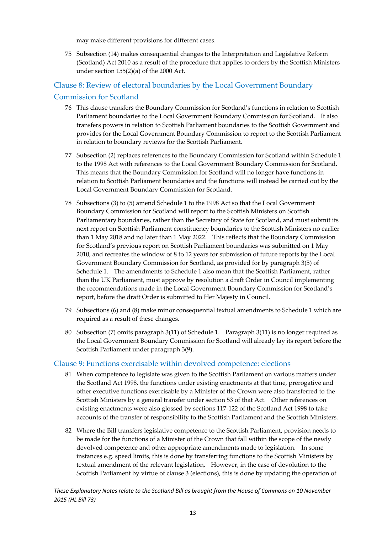may make different provisions for different cases.

75 Subsection (14) makes consequential changes to the Interpretation and Legislative Reform (Scotland) Act 2010 as a result of the procedure that applies to orders by the Scottish Ministers under section 155(2)(a) of the 2000 Act.

### Clause 8: Review of electoral boundaries by the Local Government Boundary Commission for Scotland

- 76 This clause transfers the Boundary Commission for Scotland's functions in relation to Scottish Parliament boundaries to the Local Government Boundary Commission for Scotland. It also transfers powers in relation to Scottish Parliament boundaries to the Scottish Government and provides for the Local Government Boundary Commission to report to the Scottish Parliament in relation to boundary reviews for the Scottish Parliament.
- 77 Subsection (2) replaces references to the Boundary Commission for Scotland within Schedule 1 to the 1998 Act with references to the Local Government Boundary Commission for Scotland. This means that the Boundary Commission for Scotland will no longer have functions in relation to Scottish Parliament boundaries and the functions will instead be carried out by the Local Government Boundary Commission for Scotland.
- 78 Subsections (3) to (5) amend Schedule 1 to the 1998 Act so that the Local Government Boundary Commission for Scotland will report to the Scottish Ministers on Scottish Parliamentary boundaries, rather than the Secretary of State for Scotland, and must submit its next report on Scottish Parliament constituency boundaries to the Scottish Ministers no earlier than 1 May 2018 and no later than 1 May 2022. This reflects that the Boundary Commission for Scotland's previous report on Scottish Parliament boundaries was submitted on 1 May 2010, and recreates the window of 8 to 12 years for submission of future reports by the Local Government Boundary Commission for Scotland, as provided for by paragraph 3(5) of Schedule 1. The amendments to Schedule 1 also mean that the Scottish Parliament, rather than the UK Parliament, must approve by resolution a draft Order in Council implementing the recommendations made in the Local Government Boundary Commission for Scotland's report, before the draft Order is submitted to Her Majesty in Council.
- 79 Subsections (6) and (8) make minor consequential textual amendments to Schedule 1 which are required as a result of these changes.
- 80 Subsection (7) omits paragraph 3(11) of Schedule 1. Paragraph 3(11) is no longer required as the Local Government Boundary Commission for Scotland will already lay its report before the Scottish Parliament under paragraph 3(9).

#### Clause 9: Functions exercisable within devolved competence: elections

- 81 When competence to legislate was given to the Scottish Parliament on various matters under the Scotland Act 1998, the functions under existing enactments at that time, prerogative and other executive functions exercisable by a Minister of the Crown were also transferred to the Scottish Ministers by a general transfer under section 53 of that Act. Other references on existing enactments were also glossed by sections 117‐122 of the Scotland Act 1998 to take accounts of the transfer of responsibility to the Scottish Parliament and the Scottish Ministers.
- 82 Where the Bill transfers legislative competence to the Scottish Parliament, provision needs to be made for the functions of a Minister of the Crown that fall within the scope of the newly devolved competence and other appropriate amendments made to legislation. In some instances e.g. speed limits, this is done by transferring functions to the Scottish Ministers by textual amendment of the relevant legislation, However, in the case of devolution to the Scottish Parliament by virtue of clause 3 (elections), this is done by updating the operation of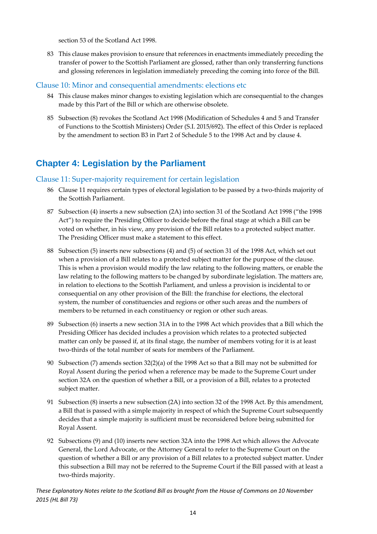section 53 of the Scotland Act 1998.

83 This clause makes provision to ensure that references in enactments immediately preceding the transfer of power to the Scottish Parliament are glossed, rather than only transferring functions and glossing references in legislation immediately preceding the coming into force of the Bill.

#### Clause 10: Minor and consequential amendments: elections etc

- 84 This clause makes minor changes to existing legislation which are consequential to the changes made by this Part of the Bill or which are otherwise obsolete.
- 85 Subsection (8) revokes the Scotland Act 1998 (Modification of Schedules 4 and 5 and Transfer of Functions to the Scottish Ministers) Order (S.I. 2015/692). The effect of this Order is replaced by the amendment to section B3 in Part 2 of Schedule 5 to the 1998 Act and by clause 4.

### **Chapter 4: Legislation by the Parliament**

#### Clause 11: Super‐majority requirement for certain legislation

- 86 Clause 11 requires certain types of electoral legislation to be passed by a two-thirds majority of the Scottish Parliament.
- 87 Subsection (4) inserts a new subsection (2A) into section 31 of the Scotland Act 1998 ("the 1998 Act") to require the Presiding Officer to decide before the final stage at which a Bill can be voted on whether, in his view, any provision of the Bill relates to a protected subject matter. The Presiding Officer must make a statement to this effect.
- 88 Subsection (5) inserts new subsections (4) and (5) of section 31 of the 1998 Act, which set out when a provision of a Bill relates to a protected subject matter for the purpose of the clause. This is when a provision would modify the law relating to the following matters, or enable the law relating to the following matters to be changed by subordinate legislation. The matters are, in relation to elections to the Scottish Parliament, and unless a provision is incidental to or consequential on any other provision of the Bill: the franchise for elections, the electoral system, the number of constituencies and regions or other such areas and the numbers of members to be returned in each constituency or region or other such areas.
- 89 Subsection (6) inserts a new section 31A in to the 1998 Act which provides that a Bill which the Presiding Officer has decided includes a provision which relates to a protected subjected matter can only be passed if, at its final stage, the number of members voting for it is at least two‐thirds of the total number of seats for members of the Parliament.
- 90 Subsection (7) amends section 32(2)(a) of the 1998 Act so that a Bill may not be submitted for Royal Assent during the period when a reference may be made to the Supreme Court under section 32A on the question of whether a Bill, or a provision of a Bill, relates to a protected subject matter.
- 91 Subsection (8) inserts a new subsection (2A) into section 32 of the 1998 Act. By this amendment, a Bill that is passed with a simple majority in respect of which the Supreme Court subsequently decides that a simple majority is sufficient must be reconsidered before being submitted for Royal Assent.
- 92 Subsections (9) and (10) inserts new section 32A into the 1998 Act which allows the Advocate General, the Lord Advocate, or the Attorney General to refer to the Supreme Court on the question of whether a Bill or any provision of a Bill relates to a protected subject matter. Under this subsection a Bill may not be referred to the Supreme Court if the Bill passed with at least a two‐thirds majority.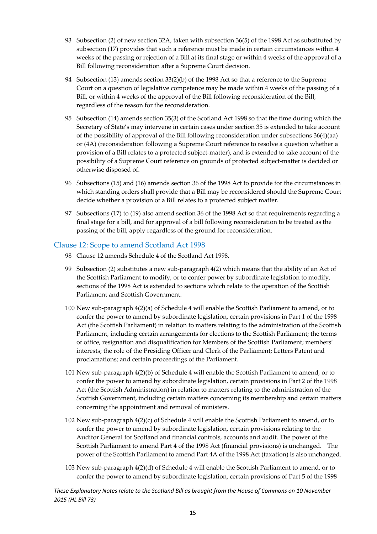- 93 Subsection (2) of new section 32A, taken with subsection 36(5) of the 1998 Act as substituted by subsection (17) provides that such a reference must be made in certain circumstances within 4 weeks of the passing or rejection of a Bill at its final stage or within 4 weeks of the approval of a Bill following reconsideration after a Supreme Court decision.
- 94 Subsection (13) amends section 33(2)(b) of the 1998 Act so that a reference to the Supreme Court on a question of legislative competence may be made within 4 weeks of the passing of a Bill, or within 4 weeks of the approval of the Bill following reconsideration of the Bill, regardless of the reason for the reconsideration.
- 95 Subsection (14) amends section 35(3) of the Scotland Act 1998 so that the time during which the Secretary of State's may intervene in certain cases under section 35 is extended to take account of the possibility of approval of the Bill following reconsideration under subsections 36(4)(aa) or (4A) (reconsideration following a Supreme Court reference to resolve a question whether a provision of a Bill relates to a protected subject-matter), and is extended to take account of the possibility of a Supreme Court reference on grounds of protected subject-matter is decided or otherwise disposed of.
- 96 Subsections (15) and (16) amends section 36 of the 1998 Act to provide for the circumstances in which standing orders shall provide that a Bill may be reconsidered should the Supreme Court decide whether a provision of a Bill relates to a protected subject matter.
- 97 Subsections (17) to (19) also amend section 36 of the 1998 Act so that requirements regarding a final stage for a bill, and for approval of a bill following reconsideration to be treated as the passing of the bill, apply regardless of the ground for reconsideration.

#### Clause 12: Scope to amend Scotland Act 1998

- 98 Clause 12 amends Schedule 4 of the Scotland Act 1998.
- 99 Subsection (2) substitutes a new sub‐paragraph 4(2) which means that the ability of an Act of the Scottish Parliament to modify, or to confer power by subordinate legislation to modify, sections of the 1998 Act is extended to sections which relate to the operation of the Scottish Parliament and Scottish Government.
- 100 New sub‐paragraph 4(2)(a) of Schedule 4 will enable the Scottish Parliament to amend, or to confer the power to amend by subordinate legislation, certain provisions in Part 1 of the 1998 Act (the Scottish Parliament) in relation to matters relating to the administration of the Scottish Parliament, including certain arrangements for elections to the Scottish Parliament; the terms of office, resignation and disqualification for Members of the Scottish Parliament; members' interests; the role of the Presiding Officer and Clerk of the Parliament; Letters Patent and proclamations; and certain proceedings of the Parliament.
- 101 New sub‐paragraph 4(2)(b) of Schedule 4 will enable the Scottish Parliament to amend, or to confer the power to amend by subordinate legislation, certain provisions in Part 2 of the 1998 Act (the Scottish Administration) in relation to matters relating to the administration of the Scottish Government, including certain matters concerning its membership and certain matters concerning the appointment and removal of ministers.
- 102 New sub‐paragraph 4(2)(c) of Schedule 4 will enable the Scottish Parliament to amend, or to confer the power to amend by subordinate legislation, certain provisions relating to the Auditor General for Scotland and financial controls, accounts and audit. The power of the Scottish Parliament to amend Part 4 of the 1998 Act (financial provisions) is unchanged. The power of the Scottish Parliament to amend Part 4A of the 1998 Act (taxation) is also unchanged.
- 103 New sub‐paragraph 4(2)(d) of Schedule 4 will enable the Scottish Parliament to amend, or to confer the power to amend by subordinate legislation, certain provisions of Part 5 of the 1998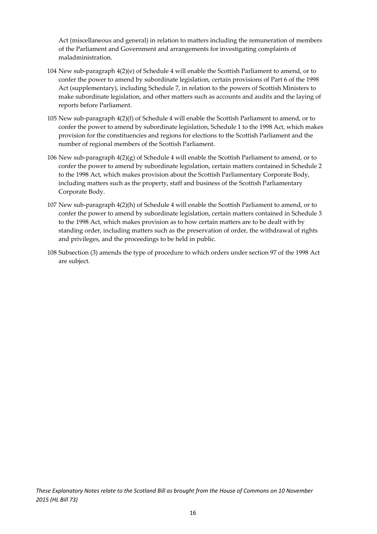Act (miscellaneous and general) in relation to matters including the remuneration of members of the Parliament and Government and arrangements for investigating complaints of maladministration.

- 104 New sub‐paragraph 4(2)(e) of Schedule 4 will enable the Scottish Parliament to amend, or to confer the power to amend by subordinate legislation, certain provisions of Part 6 of the 1998 Act (supplementary), including Schedule 7, in relation to the powers of Scottish Ministers to make subordinate legislation, and other matters such as accounts and audits and the laying of reports before Parliament.
- 105 New sub‐paragraph 4(2)(f) of Schedule 4 will enable the Scottish Parliament to amend, or to confer the power to amend by subordinate legislation, Schedule 1 to the 1998 Act, which makes provision for the constituencies and regions for elections to the Scottish Parliament and the number of regional members of the Scottish Parliament.
- 106 New sub-paragraph  $4(2)(g)$  of Schedule 4 will enable the Scottish Parliament to amend, or to confer the power to amend by subordinate legislation, certain matters contained in Schedule 2 to the 1998 Act, which makes provision about the Scottish Parliamentary Corporate Body, including matters such as the property, staff and business of the Scottish Parliamentary Corporate Body.
- 107 New sub‐paragraph 4(2)(h) of Schedule 4 will enable the Scottish Parliament to amend, or to confer the power to amend by subordinate legislation, certain matters contained in Schedule 3 to the 1998 Act, which makes provision as to how certain matters are to be dealt with by standing order, including matters such as the preservation of order, the withdrawal of rights and privileges, and the proceedings to be held in public.
- 108 Subsection (3) amends the type of procedure to which orders under section 97 of the 1998 Act are subject.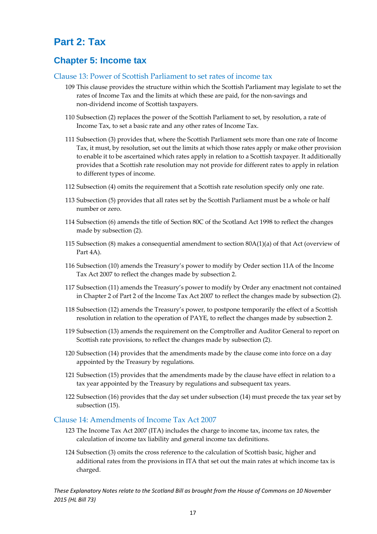### **Part 2: Tax**

### **Chapter 5: Income tax**

#### Clause 13: Power of Scottish Parliament to set rates of income tax

- 109 This clause provides the structure within which the Scottish Parliament may legislate to set the rates of Income Tax and the limits at which these are paid, for the non‐savings and non‐dividend income of Scottish taxpayers.
- 110 Subsection (2) replaces the power of the Scottish Parliament to set, by resolution, a rate of Income Tax, to set a basic rate and any other rates of Income Tax.
- 111 Subsection (3) provides that, where the Scottish Parliament sets more than one rate of Income Tax, it must, by resolution, set out the limits at which those rates apply or make other provision to enable it to be ascertained which rates apply in relation to a Scottish taxpayer. It additionally provides that a Scottish rate resolution may not provide for different rates to apply in relation to different types of income.
- 112 Subsection (4) omits the requirement that a Scottish rate resolution specify only one rate.
- 113 Subsection (5) provides that all rates set by the Scottish Parliament must be a whole or half number or zero.
- 114 Subsection (6) amends the title of Section 80C of the Scotland Act 1998 to reflect the changes made by subsection (2).
- 115 Subsection (8) makes a consequential amendment to section 80A(1)(a) of that Act (overview of Part 4A).
- 116 Subsection (10) amends the Treasury's power to modify by Order section 11A of the Income Tax Act 2007 to reflect the changes made by subsection 2.
- 117 Subsection (11) amends the Treasury's power to modify by Order any enactment not contained in Chapter 2 of Part 2 of the Income Tax Act 2007 to reflect the changes made by subsection (2).
- 118 Subsection (12) amends the Treasury's power, to postpone temporarily the effect of a Scottish resolution in relation to the operation of PAYE, to reflect the changes made by subsection 2.
- 119 Subsection (13) amends the requirement on the Comptroller and Auditor General to report on Scottish rate provisions, to reflect the changes made by subsection (2).
- 120 Subsection (14) provides that the amendments made by the clause come into force on a day appointed by the Treasury by regulations.
- 121 Subsection (15) provides that the amendments made by the clause have effect in relation to a tax year appointed by the Treasury by regulations and subsequent tax years.
- 122 Subsection (16) provides that the day set under subsection (14) must precede the tax year set by subsection (15).

#### Clause 14: Amendments of Income Tax Act 2007

- 123 The Income Tax Act 2007 (ITA) includes the charge to income tax, income tax rates, the calculation of income tax liability and general income tax definitions.
- 124 Subsection (3) omits the cross reference to the calculation of Scottish basic, higher and additional rates from the provisions in ITA that set out the main rates at which income tax is charged.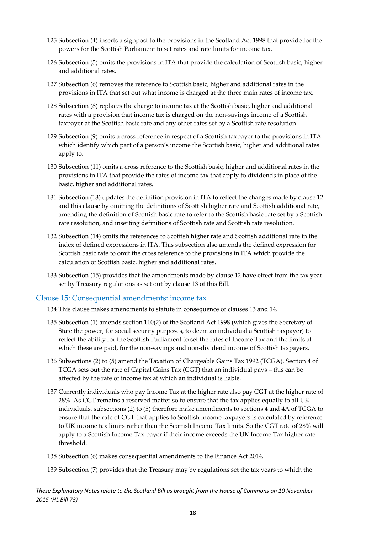- 125 Subsection (4) inserts a signpost to the provisions in the Scotland Act 1998 that provide for the powers for the Scottish Parliament to set rates and rate limits for income tax.
- 126 Subsection (5) omits the provisions in ITA that provide the calculation of Scottish basic, higher and additional rates.
- 127 Subsection (6) removes the reference to Scottish basic, higher and additional rates in the provisions in ITA that set out what income is charged at the three main rates of income tax.
- 128 Subsection (8) replaces the charge to income tax at the Scottish basic, higher and additional rates with a provision that income tax is charged on the non‐savings income of a Scottish taxpayer at the Scottish basic rate and any other rates set by a Scottish rate resolution.
- 129 Subsection (9) omits a cross reference in respect of a Scottish taxpayer to the provisions in ITA which identify which part of a person's income the Scottish basic, higher and additional rates apply to.
- 130 Subsection (11) omits a cross reference to the Scottish basic, higher and additional rates in the provisions in ITA that provide the rates of income tax that apply to dividends in place of the basic, higher and additional rates.
- 131 Subsection (13) updates the definition provision in ITA to reflect the changes made by clause 12 and this clause by omitting the definitions of Scottish higher rate and Scottish additional rate, amending the definition of Scottish basic rate to refer to the Scottish basic rate set by a Scottish rate resolution, and inserting definitions of Scottish rate and Scottish rate resolution.
- 132 Subsection (14) omits the references to Scottish higher rate and Scottish additional rate in the index of defined expressions in ITA. This subsection also amends the defined expression for Scottish basic rate to omit the cross reference to the provisions in ITA which provide the calculation of Scottish basic, higher and additional rates.
- 133 Subsection (15) provides that the amendments made by clause 12 have effect from the tax year set by Treasury regulations as set out by clause 13 of this Bill.

#### Clause 15: Consequential amendments: income tax

- 134 This clause makes amendments to statute in consequence of clauses 13 and 14.
- 135 Subsection (1) amends section 110(2) of the Scotland Act 1998 (which gives the Secretary of State the power, for social security purposes, to deem an individual a Scottish taxpayer) to reflect the ability for the Scottish Parliament to set the rates of Income Tax and the limits at which these are paid, for the non-savings and non-dividend income of Scottish taxpayers.
- 136 Subsections (2) to (5) amend the Taxation of Chargeable Gains Tax 1992 (TCGA). Section 4 of TCGA sets out the rate of Capital Gains Tax (CGT) that an individual pays – this can be affected by the rate of income tax at which an individual is liable.
- 137 Currently individuals who pay Income Tax at the higher rate also pay CGT at the higher rate of 28%. As CGT remains a reserved matter so to ensure that the tax applies equally to all UK individuals, subsections (2) to (5) therefore make amendments to sections 4 and 4A of TCGA to ensure that the rate of CGT that applies to Scottish income taxpayers is calculated by reference to UK income tax limits rather than the Scottish Income Tax limits. So the CGT rate of 28% will apply to a Scottish Income Tax payer if their income exceeds the UK Income Tax higher rate threshold.

138 Subsection (6) makes consequential amendments to the Finance Act 2014.

139 Subsection (7) provides that the Treasury may by regulations set the tax years to which the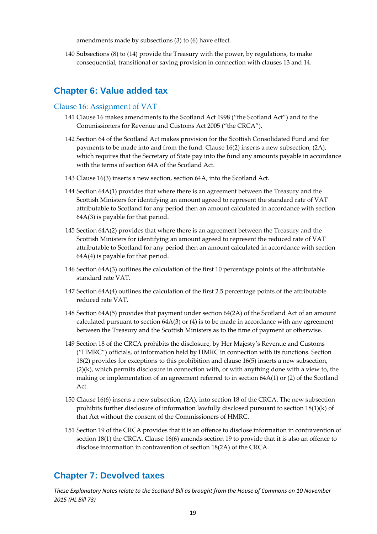amendments made by subsections (3) to (6) have effect.

140 Subsections (8) to (14) provide the Treasury with the power, by regulations, to make consequential, transitional or saving provision in connection with clauses 13 and 14.

### **Chapter 6: Value added tax**

#### Clause 16: Assignment of VAT

- 141 Clause 16 makes amendments to the Scotland Act 1998 ("the Scotland Act") and to the Commissioners for Revenue and Customs Act 2005 ("the CRCA").
- 142 Section 64 of the Scotland Act makes provision for the Scottish Consolidated Fund and for payments to be made into and from the fund. Clause 16(2) inserts a new subsection, (2A), which requires that the Secretary of State pay into the fund any amounts payable in accordance with the terms of section 64A of the Scotland Act.
- 143 Clause 16(3) inserts a new section, section 64A, into the Scotland Act.
- 144 Section 64A(1) provides that where there is an agreement between the Treasury and the Scottish Ministers for identifying an amount agreed to represent the standard rate of VAT attributable to Scotland for any period then an amount calculated in accordance with section 64A(3) is payable for that period.
- 145 Section 64A(2) provides that where there is an agreement between the Treasury and the Scottish Ministers for identifying an amount agreed to represent the reduced rate of VAT attributable to Scotland for any period then an amount calculated in accordance with section 64A(4) is payable for that period.
- 146 Section 64A(3) outlines the calculation of the first 10 percentage points of the attributable standard rate VAT.
- 147 Section 64A(4) outlines the calculation of the first 2.5 percentage points of the attributable reduced rate VAT.
- 148 Section 64A(5) provides that payment under section 64(2A) of the Scotland Act of an amount calculated pursuant to section  $64A(3)$  or  $(4)$  is to be made in accordance with any agreement between the Treasury and the Scottish Ministers as to the time of payment or otherwise.
- 149 Section 18 of the CRCA prohibits the disclosure, by Her Majesty's Revenue and Customs ("HMRC") officials, of information held by HMRC in connection with its functions. Section 18(2) provides for exceptions to this prohibition and clause 16(5) inserts a new subsection,  $(2)(k)$ , which permits disclosure in connection with, or with anything done with a view to, the making or implementation of an agreement referred to in section 64A(1) or (2) of the Scotland Act.
- 150 Clause 16(6) inserts a new subsection, (2A), into section 18 of the CRCA. The new subsection prohibits further disclosure of information lawfully disclosed pursuant to section 18(1)(k) of that Act without the consent of the Commissioners of HMRC.
- 151 Section 19 of the CRCA provides that it is an offence to disclose information in contravention of section 18(1) the CRCA. Clause 16(6) amends section 19 to provide that it is also an offence to disclose information in contravention of section 18(2A) of the CRCA.

### **Chapter 7: Devolved taxes**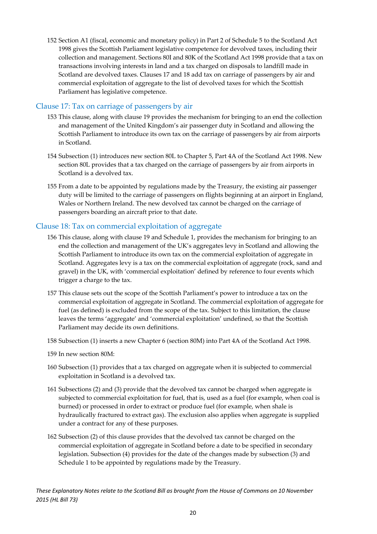152 Section A1 (fiscal, economic and monetary policy) in Part 2 of Schedule 5 to the Scotland Act 1998 gives the Scottish Parliament legislative competence for devolved taxes, including their collection and management. Sections 80I and 80K of the Scotland Act 1998 provide that a tax on transactions involving interests in land and a tax charged on disposals to landfill made in Scotland are devolved taxes. Clauses 17 and 18 add tax on carriage of passengers by air and commercial exploitation of aggregate to the list of devolved taxes for which the Scottish Parliament has legislative competence.

#### Clause 17: Tax on carriage of passengers by air

- 153 This clause, along with clause 19 provides the mechanism for bringing to an end the collection and management of the United Kingdom's air passenger duty in Scotland and allowing the Scottish Parliament to introduce its own tax on the carriage of passengers by air from airports in Scotland.
- 154 Subsection (1) introduces new section 80L to Chapter 5, Part 4A of the Scotland Act 1998. New section 80L provides that a tax charged on the carriage of passengers by air from airports in Scotland is a devolved tax.
- 155 From a date to be appointed by regulations made by the Treasury, the existing air passenger duty will be limited to the carriage of passengers on flights beginning at an airport in England, Wales or Northern Ireland. The new devolved tax cannot be charged on the carriage of passengers boarding an aircraft prior to that date.

#### Clause 18: Tax on commercial exploitation of aggregate

- 156 This clause, along with clause 19 and Schedule 1, provides the mechanism for bringing to an end the collection and management of the UK's aggregates levy in Scotland and allowing the Scottish Parliament to introduce its own tax on the commercial exploitation of aggregate in Scotland. Aggregates levy is a tax on the commercial exploitation of aggregate (rock, sand and gravel) in the UK, with 'commercial exploitation' defined by reference to four events which trigger a charge to the tax.
- 157 This clause sets out the scope of the Scottish Parliament's power to introduce a tax on the commercial exploitation of aggregate in Scotland. The commercial exploitation of aggregate for fuel (as defined) is excluded from the scope of the tax. Subject to this limitation, the clause leaves the terms 'aggregate' and 'commercial exploitation' undefined, so that the Scottish Parliament may decide its own definitions.
- 158 Subsection (1) inserts a new Chapter 6 (section 80M) into Part 4A of the Scotland Act 1998.
- 159 In new section 80M:
- 160 Subsection (1) provides that a tax charged on aggregate when it is subjected to commercial exploitation in Scotland is a devolved tax.
- 161 Subsections (2) and (3) provide that the devolved tax cannot be charged when aggregate is subjected to commercial exploitation for fuel, that is, used as a fuel (for example, when coal is burned) or processed in order to extract or produce fuel (for example, when shale is hydraulically fractured to extract gas). The exclusion also applies when aggregate is supplied under a contract for any of these purposes.
- 162 Subsection (2) of this clause provides that the devolved tax cannot be charged on the commercial exploitation of aggregate in Scotland before a date to be specified in secondary legislation. Subsection (4) provides for the date of the changes made by subsection (3) and Schedule 1 to be appointed by regulations made by the Treasury.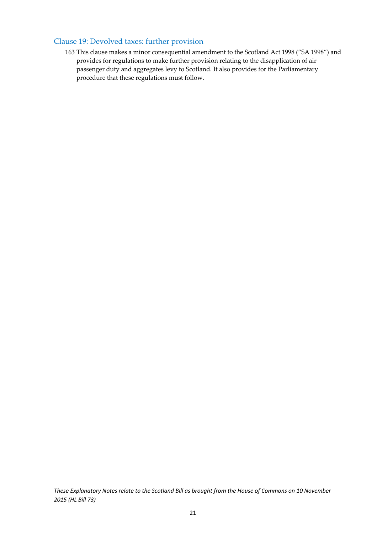#### Clause 19: Devolved taxes: further provision

163 This clause makes a minor consequential amendment to the Scotland Act 1998 ("SA 1998") and provides for regulations to make further provision relating to the disapplication of air passenger duty and aggregates levy to Scotland. It also provides for the Parliamentary procedure that these regulations must follow.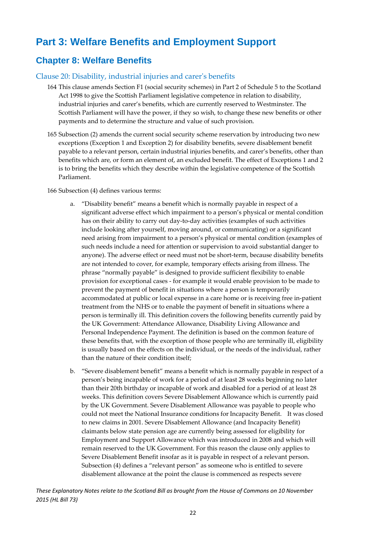## **Part 3: Welfare Benefits and Employment Support**

### **Chapter 8: Welfare Benefits**

#### Clause 20: Disability, industrial injuries and carerʹs benefits

- 164 This clause amends Section F1 (social security schemes) in Part 2 of Schedule 5 to the Scotland Act 1998 to give the Scottish Parliament legislative competence in relation to disability, industrial injuries and carer's benefits, which are currently reserved to Westminster. The Scottish Parliament will have the power, if they so wish, to change these new benefits or other payments and to determine the structure and value of such provision.
- 165 Subsection (2) amends the current social security scheme reservation by introducing two new exceptions (Exception 1 and Exception 2) for disability benefits, severe disablement benefit payable to a relevant person, certain industrial injuries benefits, and carer's benefits, other than benefits which are, or form an element of, an excluded benefit. The effect of Exceptions 1 and 2 is to bring the benefits which they describe within the legislative competence of the Scottish Parliament.

166 Subsection (4) defines various terms:

- a. "Disability benefit" means a benefit which is normally payable in respect of a significant adverse effect which impairment to a person's physical or mental condition has on their ability to carry out day-to-day activities (examples of such activities include looking after yourself, moving around, or communicating) or a significant need arising from impairment to a person's physical or mental condition (examples of such needs include a need for attention or supervision to avoid substantial danger to anyone). The adverse effect or need must not be short‐term, because disability benefits are not intended to cover, for example, temporary effects arising from illness. The phrase "normally payable" is designed to provide sufficient flexibility to enable provision for exceptional cases ‐ for example it would enable provision to be made to prevent the payment of benefit in situations where a person is temporarily accommodated at public or local expense in a care home or is receiving free in‐patient treatment from the NHS or to enable the payment of benefit in situations where a person is terminally ill. This definition covers the following benefits currently paid by the UK Government: Attendance Allowance, Disability Living Allowance and Personal Independence Payment. The definition is based on the common feature of these benefits that, with the exception of those people who are terminally ill, eligibility is usually based on the effects on the individual, or the needs of the individual, rather than the nature of their condition itself;
- b. "Severe disablement benefit" means a benefit which is normally payable in respect of a person's being incapable of work for a period of at least 28 weeks beginning no later than their 20th birthday or incapable of work and disabled for a period of at least 28 weeks. This definition covers Severe Disablement Allowance which is currently paid by the UK Government. Severe Disablement Allowance was payable to people who could not meet the National Insurance conditions for Incapacity Benefit. It was closed to new claims in 2001. Severe Disablement Allowance (and Incapacity Benefit) claimants below state pension age are currently being assessed for eligibility for Employment and Support Allowance which was introduced in 2008 and which will remain reserved to the UK Government. For this reason the clause only applies to Severe Disablement Benefit insofar as it is payable in respect of a relevant person. Subsection (4) defines a "relevant person" as someone who is entitled to severe disablement allowance at the point the clause is commenced as respects severe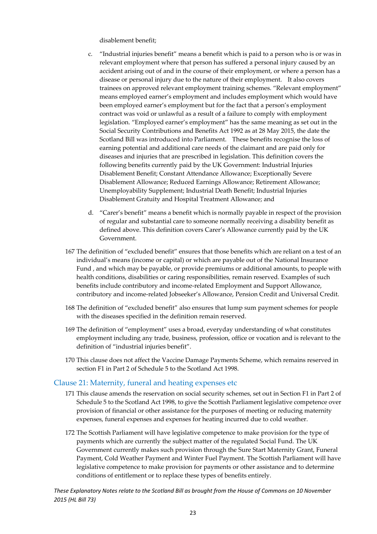disablement benefit;

- c. "Industrial injuries benefit" means a benefit which is paid to a person who is or was in relevant employment where that person has suffered a personal injury caused by an accident arising out of and in the course of their employment, or where a person has a disease or personal injury due to the nature of their employment. It also covers trainees on approved relevant employment training schemes. "Relevant employment" means employed earner's employment and includes employment which would have been employed earner's employment but for the fact that a person's employment contract was void or unlawful as a result of a failure to comply with employment legislation. "Employed earner's employment" has the same meaning as set out in the Social Security Contributions and Benefits Act 1992 as at 28 May 2015, the date the Scotland Bill was introduced into Parliament. These benefits recognise the loss of earning potential and additional care needs of the claimant and are paid only for diseases and injuries that are prescribed in legislation. This definition covers the following benefits currently paid by the UK Government: Industrial Injuries Disablement Benefit; Constant Attendance Allowance; Exceptionally Severe Disablement Allowance; Reduced Earnings Allowance; Retirement Allowance; Unemployability Supplement; Industrial Death Benefit; Industrial Injuries Disablement Gratuity and Hospital Treatment Allowance; and
- d. "Carer's benefit" means a benefit which is normally payable in respect of the provision of regular and substantial care to someone normally receiving a disability benefit as defined above. This definition covers Carer's Allowance currently paid by the UK Government.
- 167 The definition of "excluded benefit" ensures that those benefits which are reliant on a test of an individual's means (income or capital) or which are payable out of the National Insurance Fund , and which may be payable, or provide premiums or additional amounts, to people with health conditions, disabilities or caring responsibilities, remain reserved. Examples of such benefits include contributory and income‐related Employment and Support Allowance, contributory and income‐related Jobseeker's Allowance, Pension Credit and Universal Credit.
- 168 The definition of "excluded benefit" also ensures that lump sum payment schemes for people with the diseases specified in the definition remain reserved.
- 169 The definition of "employment" uses a broad, everyday understanding of what constitutes employment including any trade, business, profession, office or vocation and is relevant to the definition of "industrial injuries benefit".
- 170 This clause does not affect the Vaccine Damage Payments Scheme, which remains reserved in section F1 in Part 2 of Schedule 5 to the Scotland Act 1998.

#### Clause 21: Maternity, funeral and heating expenses etc

- 171 This clause amends the reservation on social security schemes, set out in Section F1 in Part 2 of Schedule 5 to the Scotland Act 1998, to give the Scottish Parliament legislative competence over provision of financial or other assistance for the purposes of meeting or reducing maternity expenses, funeral expenses and expenses for heating incurred due to cold weather.
- 172 The Scottish Parliament will have legislative competence to make provision for the type of payments which are currently the subject matter of the regulated Social Fund. The UK Government currently makes such provision through the Sure Start Maternity Grant, Funeral Payment, Cold Weather Payment and Winter Fuel Payment. The Scottish Parliament will have legislative competence to make provision for payments or other assistance and to determine conditions of entitlement or to replace these types of benefits entirely.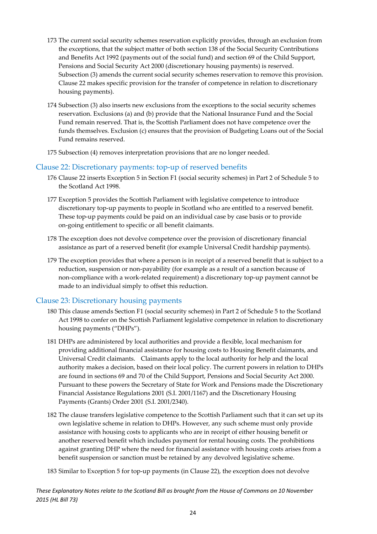- 173 The current social security schemes reservation explicitly provides, through an exclusion from the exceptions, that the subject matter of both section 138 of the Social Security Contributions and Benefits Act 1992 (payments out of the social fund) and section 69 of the Child Support, Pensions and Social Security Act 2000 (discretionary housing payments) is reserved. Subsection (3) amends the current social security schemes reservation to remove this provision. Clause 22 makes specific provision for the transfer of competence in relation to discretionary housing payments).
- 174 Subsection (3) also inserts new exclusions from the exceptions to the social security schemes reservation. Exclusions (a) and (b) provide that the National Insurance Fund and the Social Fund remain reserved. That is, the Scottish Parliament does not have competence over the funds themselves. Exclusion (c) ensures that the provision of Budgeting Loans out of the Social Fund remains reserved.
- 175 Subsection (4) removes interpretation provisions that are no longer needed.

#### Clause 22: Discretionary payments: top‐up of reserved benefits

- 176 Clause 22 inserts Exception 5 in Section F1 (social security schemes) in Part 2 of Schedule 5 to the Scotland Act 1998.
- 177 Exception 5 provides the Scottish Parliament with legislative competence to introduce discretionary top‐up payments to people in Scotland who are entitled to a reserved benefit. These top-up payments could be paid on an individual case by case basis or to provide on‐going entitlement to specific or all benefit claimants.
- 178 The exception does not devolve competence over the provision of discretionary financial assistance as part of a reserved benefit (for example Universal Credit hardship payments).
- 179 The exception provides that where a person is in receipt of a reserved benefit that is subject to a reduction, suspension or non‐payability (for example as a result of a sanction because of non‐compliance with a work‐related requirement) a discretionary top‐up payment cannot be made to an individual simply to offset this reduction.

#### Clause 23: Discretionary housing payments

- 180 This clause amends Section F1 (social security schemes) in Part 2 of Schedule 5 to the Scotland Act 1998 to confer on the Scottish Parliament legislative competence in relation to discretionary housing payments ("DHPs").
- 181 DHPs are administered by local authorities and provide a flexible, local mechanism for providing additional financial assistance for housing costs to Housing Benefit claimants, and Universal Credit claimants. Claimants apply to the local authority for help and the local authority makes a decision, based on their local policy. The current powers in relation to DHPs are found in sections 69 and 70 of the Child Support, Pensions and Social Security Act 2000. Pursuant to these powers the Secretary of State for Work and Pensions made the Discretionary Financial Assistance Regulations 2001 (S.I. 2001/1167) and the Discretionary Housing Payments (Grants) Order 2001 (S.I. 2001/2340).
- 182 The clause transfers legislative competence to the Scottish Parliament such that it can set up its own legislative scheme in relation to DHPs. However, any such scheme must only provide assistance with housing costs to applicants who are in receipt of either housing benefit or another reserved benefit which includes payment for rental housing costs. The prohibitions against granting DHP where the need for financial assistance with housing costs arises from a benefit suspension or sanction must be retained by any devolved legislative scheme.
- 183 Similar to Exception 5 for top-up payments (in Clause 22), the exception does not devolve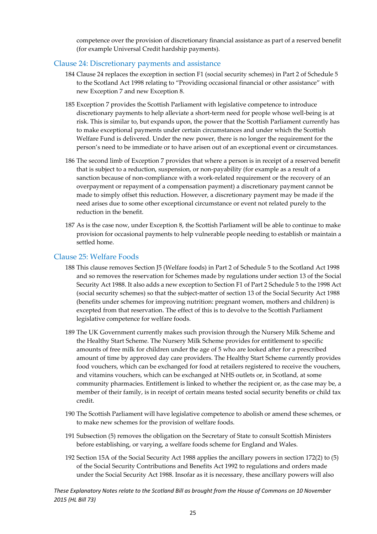competence over the provision of discretionary financial assistance as part of a reserved benefit (for example Universal Credit hardship payments).

#### Clause 24: Discretionary payments and assistance

- 184 Clause 24 replaces the exception in section F1 (social security schemes) in Part 2 of Schedule 5 to the Scotland Act 1998 relating to "Providing occasional financial or other assistance" with new Exception 7 and new Exception 8.
- 185 Exception 7 provides the Scottish Parliament with legislative competence to introduce discretionary payments to help alleviate a short-term need for people whose well-being is at risk. This is similar to, but expands upon, the power that the Scottish Parliament currently has to make exceptional payments under certain circumstances and under which the Scottish Welfare Fund is delivered. Under the new power, there is no longer the requirement for the person's need to be immediate or to have arisen out of an exceptional event or circumstances.
- 186 The second limb of Exception 7 provides that where a person is in receipt of a reserved benefit that is subject to a reduction, suspension, or non‐payability (for example as a result of a sanction because of non-compliance with a work-related requirement or the recovery of an overpayment or repayment of a compensation payment) a discretionary payment cannot be made to simply offset this reduction. However, a discretionary payment may be made if the need arises due to some other exceptional circumstance or event not related purely to the reduction in the benefit.
- 187 As is the case now, under Exception 8, the Scottish Parliament will be able to continue to make provision for occasional payments to help vulnerable people needing to establish or maintain a settled home.

#### Clause 25: Welfare Foods

- 188 This clause removes Section J5 (Welfare foods) in Part 2 of Schedule 5 to the Scotland Act 1998 and so removes the reservation for Schemes made by regulations under section 13 of the Social Security Act 1988. It also adds a new exception to Section F1 of Part 2 Schedule 5 to the 1998 Act (social security schemes) so that the subject‐matter of section 13 of the Social Security Act 1988 (benefits under schemes for improving nutrition: pregnant women, mothers and children) is excepted from that reservation. The effect of this is to devolve to the Scottish Parliament legislative competence for welfare foods.
- 189 The UK Government currently makes such provision through the Nursery Milk Scheme and the Healthy Start Scheme. The Nursery Milk Scheme provides for entitlement to specific amounts of free milk for children under the age of 5 who are looked after for a prescribed amount of time by approved day care providers. The Healthy Start Scheme currently provides food vouchers, which can be exchanged for food at retailers registered to receive the vouchers, and vitamins vouchers, which can be exchanged at NHS outlets or, in Scotland, at some community pharmacies. Entitlement is linked to whether the recipient or, as the case may be, a member of their family, is in receipt of certain means tested social security benefits or child tax credit.
- 190 The Scottish Parliament will have legislative competence to abolish or amend these schemes, or to make new schemes for the provision of welfare foods.
- 191 Subsection (5) removes the obligation on the Secretary of State to consult Scottish Ministers before establishing, or varying, a welfare foods scheme for England and Wales.
- 192 Section 15A of the Social Security Act 1988 applies the ancillary powers in section 172(2) to (5) of the Social Security Contributions and Benefits Act 1992 to regulations and orders made under the Social Security Act 1988. Insofar as it is necessary, these ancillary powers will also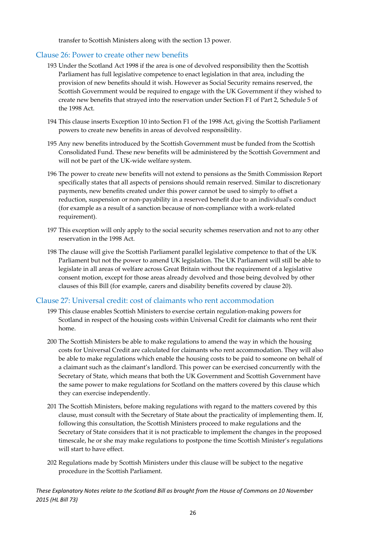transfer to Scottish Ministers along with the section 13 power.

#### Clause 26: Power to create other new benefits

- 193 Under the Scotland Act 1998 if the area is one of devolved responsibility then the Scottish Parliament has full legislative competence to enact legislation in that area, including the provision of new benefits should it wish. However as Social Security remains reserved, the Scottish Government would be required to engage with the UK Government if they wished to create new benefits that strayed into the reservation under Section F1 of Part 2, Schedule 5 of the 1998 Act.
- 194 This clause inserts Exception 10 into Section F1 of the 1998 Act, giving the Scottish Parliament powers to create new benefits in areas of devolved responsibility.
- 195 Any new benefits introduced by the Scottish Government must be funded from the Scottish Consolidated Fund. These new benefits will be administered by the Scottish Government and will not be part of the UK‐wide welfare system.
- 196 The power to create new benefits will not extend to pensions as the Smith Commission Report specifically states that all aspects of pensions should remain reserved. Similar to discretionary payments, new benefits created under this power cannot be used to simply to offset a reduction, suspension or non‐payability in a reserved benefit due to an individualʹs conduct (for example as a result of a sanction because of non‐compliance with a work‐related requirement).
- 197 This exception will only apply to the social security schemes reservation and not to any other reservation in the 1998 Act.
- 198 The clause will give the Scottish Parliament parallel legislative competence to that of the UK Parliament but not the power to amend UK legislation. The UK Parliament will still be able to legislate in all areas of welfare across Great Britain without the requirement of a legislative consent motion, except for those areas already devolved and those being devolved by other clauses of this Bill (for example, carers and disability benefits covered by clause 20).

#### Clause 27: Universal credit: cost of claimants who rent accommodation

- 199 This clause enables Scottish Ministers to exercise certain regulation‐making powers for Scotland in respect of the housing costs within Universal Credit for claimants who rent their home.
- 200 The Scottish Ministers be able to make regulations to amend the way in which the housing costs for Universal Credit are calculated for claimants who rent accommodation. They will also be able to make regulations which enable the housing costs to be paid to someone on behalf of a claimant such as the claimant's landlord. This power can be exercised concurrently with the Secretary of State, which means that both the UK Government and Scottish Government have the same power to make regulations for Scotland on the matters covered by this clause which they can exercise independently.
- 201 The Scottish Ministers, before making regulations with regard to the matters covered by this clause, must consult with the Secretary of State about the practicality of implementing them. If, following this consultation, the Scottish Ministers proceed to make regulations and the Secretary of State considers that it is not practicable to implement the changes in the proposed timescale, he or she may make regulations to postpone the time Scottish Minister's regulations will start to have effect.
- 202 Regulations made by Scottish Ministers under this clause will be subject to the negative procedure in the Scottish Parliament.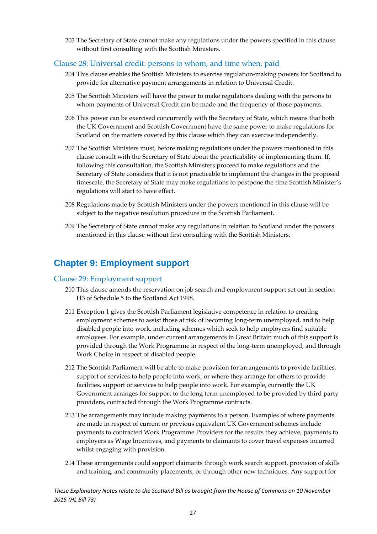203 The Secretary of State cannot make any regulations under the powers specified in this clause without first consulting with the Scottish Ministers.

#### Clause 28: Universal credit: persons to whom, and time when, paid

- 204 This clause enables the Scottish Ministers to exercise regulation‐making powers for Scotland to provide for alternative payment arrangements in relation to Universal Credit.
- 205 The Scottish Ministers will have the power to make regulations dealing with the persons to whom payments of Universal Credit can be made and the frequency of those payments.
- 206 This power can be exercised concurrently with the Secretary of State, which means that both the UK Government and Scottish Government have the same power to make regulations for Scotland on the matters covered by this clause which they can exercise independently.
- 207 The Scottish Ministers must, before making regulations under the powers mentioned in this clause consult with the Secretary of State about the practicability of implementing them. If, following this consultation, the Scottish Ministers proceed to make regulations and the Secretary of State considers that it is not practicable to implement the changes in the proposed timescale, the Secretary of State may make regulations to postpone the time Scottish Minister's regulations will start to have effect.
- 208 Regulations made by Scottish Ministers under the powers mentioned in this clause will be subject to the negative resolution procedure in the Scottish Parliament.
- 209 The Secretary of State cannot make any regulations in relation to Scotland under the powers mentioned in this clause without first consulting with the Scottish Ministers.

### **Chapter 9: Employment support**

#### Clause 29: Employment support

- 210 This clause amends the reservation on job search and employment support set out in section H3 of Schedule 5 to the Scotland Act 1998.
- 211 Exception 1 gives the Scottish Parliament legislative competence in relation to creating employment schemes to assist those at risk of becoming long-term unemployed, and to help disabled people into work, including schemes which seek to help employers find suitable employees. For example, under current arrangements in Great Britain much of this support is provided through the Work Programme in respect of the long-term unemployed, and through Work Choice in respect of disabled people.
- 212 The Scottish Parliament will be able to make provision for arrangements to provide facilities, support or services to help people into work, or where they arrange for others to provide facilities, support or services to help people into work. For example, currently the UK Government arranges for support to the long term unemployed to be provided by third party providers, contracted through the Work Programme contracts.
- 213 The arrangements may include making payments to a person. Examples of where payments are made in respect of current or previous equivalent UK Government schemes include payments to contracted Work Programme Providers for the results they achieve, payments to employers as Wage Incentives, and payments to claimants to cover travel expenses incurred whilst engaging with provision.
- 214 These arrangements could support claimants through work search support, provision of skills and training, and community placements, or through other new techniques. Any support for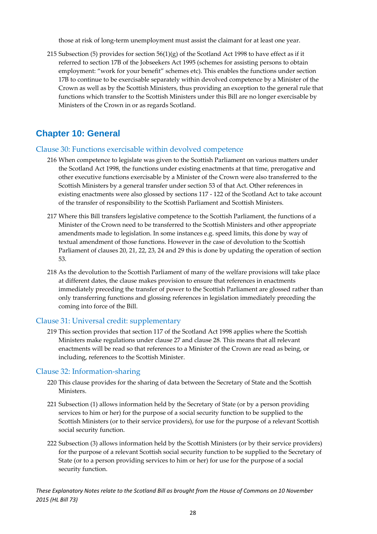those at risk of long‐term unemployment must assist the claimant for at least one year.

215 Subsection (5) provides for section  $56(1)(g)$  of the Scotland Act 1998 to have effect as if it referred to section 17B of the Jobseekers Act 1995 (schemes for assisting persons to obtain employment: "work for your benefit" schemes etc). This enables the functions under section 17B to continue to be exercisable separately within devolved competence by a Minister of the Crown as well as by the Scottish Ministers, thus providing an exception to the general rule that functions which transfer to the Scottish Ministers under this Bill are no longer exercisable by Ministers of the Crown in or as regards Scotland.

### **Chapter 10: General**

#### Clause 30: Functions exercisable within devolved competence

- 216 When competence to legislate was given to the Scottish Parliament on various matters under the Scotland Act 1998, the functions under existing enactments at that time, prerogative and other executive functions exercisable by a Minister of the Crown were also transferred to the Scottish Ministers by a general transfer under section 53 of that Act. Other references in existing enactments were also glossed by sections 117 ‐ 122 of the Scotland Act to take account of the transfer of responsibility to the Scottish Parliament and Scottish Ministers.
- 217 Where this Bill transfers legislative competence to the Scottish Parliament, the functions of a Minister of the Crown need to be transferred to the Scottish Ministers and other appropriate amendments made to legislation. In some instances e.g. speed limits, this done by way of textual amendment of those functions. However in the case of devolution to the Scottish Parliament of clauses 20, 21, 22, 23, 24 and 29 this is done by updating the operation of section 53.
- 218 As the devolution to the Scottish Parliament of many of the welfare provisions will take place at different dates, the clause makes provision to ensure that references in enactments immediately preceding the transfer of power to the Scottish Parliament are glossed rather than only transferring functions and glossing references in legislation immediately preceding the coming into force of the Bill.

#### Clause 31: Universal credit: supplementary

219 This section provides that section 117 of the Scotland Act 1998 applies where the Scottish Ministers make regulations under clause 27 and clause 28. This means that all relevant enactments will be read so that references to a Minister of the Crown are read as being, or including, references to the Scottish Minister.

#### Clause 32: Information‐sharing

- 220 This clause provides for the sharing of data between the Secretary of State and the Scottish Ministers.
- 221 Subsection (1) allows information held by the Secretary of State (or by a person providing services to him or her) for the purpose of a social security function to be supplied to the Scottish Ministers (or to their service providers), for use for the purpose of a relevant Scottish social security function.
- 222 Subsection (3) allows information held by the Scottish Ministers (or by their service providers) for the purpose of a relevant Scottish social security function to be supplied to the Secretary of State (or to a person providing services to him or her) for use for the purpose of a social security function.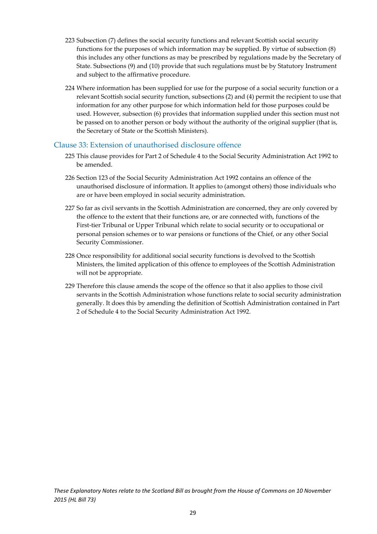- 223 Subsection (7) defines the social security functions and relevant Scottish social security functions for the purposes of which information may be supplied. By virtue of subsection (8) this includes any other functions as may be prescribed by regulations made by the Secretary of State. Subsections (9) and (10) provide that such regulations must be by Statutory Instrument and subject to the affirmative procedure.
- 224 Where information has been supplied for use for the purpose of a social security function or a relevant Scottish social security function, subsections (2) and (4) permit the recipient to use that information for any other purpose for which information held for those purposes could be used. However, subsection (6) provides that information supplied under this section must not be passed on to another person or body without the authority of the original supplier (that is, the Secretary of State or the Scottish Ministers).

#### Clause 33: Extension of unauthorised disclosure offence

- 225 This clause provides for Part 2 of Schedule 4 to the Social Security Administration Act 1992 to be amended.
- 226 Section 123 of the Social Security Administration Act 1992 contains an offence of the unauthorised disclosure of information. It applies to (amongst others) those individuals who are or have been employed in social security administration.
- 227 So far as civil servants in the Scottish Administration are concerned, they are only covered by the offence to the extent that their functions are, or are connected with, functions of the First-tier Tribunal or Upper Tribunal which relate to social security or to occupational or personal pension schemes or to war pensions or functions of the Chief, or any other Social Security Commissioner.
- 228 Once responsibility for additional social security functions is devolved to the Scottish Ministers, the limited application of this offence to employees of the Scottish Administration will not be appropriate.
- 229 Therefore this clause amends the scope of the offence so that it also applies to those civil servants in the Scottish Administration whose functions relate to social security administration generally. It does this by amending the definition of Scottish Administration contained in Part 2 of Schedule 4 to the Social Security Administration Act 1992.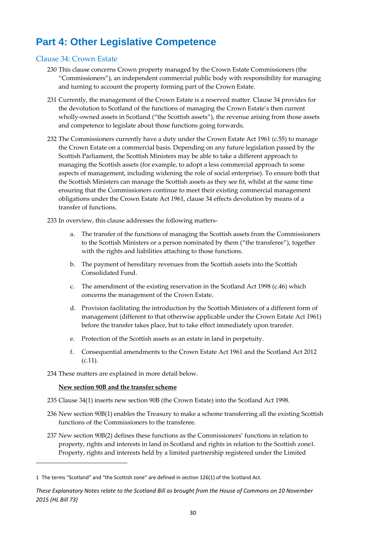## **Part 4: Other Legislative Competence**

#### Clause 34: Crown Estate

- 230 This clause concerns Crown property managed by the Crown Estate Commissioners (the "Commissioners"), an independent commercial public body with responsibility for managing and turning to account the property forming part of the Crown Estate.
- 231 Currently, the management of the Crown Estate is a reserved matter. Clause 34 provides for the devolution to Scotland of the functions of managing the Crown Estate's then current wholly-owned assets in Scotland ("the Scottish assets"), the revenue arising from those assets and competence to legislate about those functions going forwards.
- 232 The Commissioners currently have a duty under the Crown Estate Act 1961 (c.55) to manage the Crown Estate on a commercial basis. Depending on any future legislation passed by the Scottish Parliament, the Scottish Ministers may be able to take a different approach to managing the Scottish assets (for example, to adopt a less commercial approach to some aspects of management, including widening the role of social enterprise). To ensure both that the Scottish Ministers can manage the Scottish assets as they see fit, whilst at the same time ensuring that the Commissioners continue to meet their existing commercial management obligations under the Crown Estate Act 1961, clause 34 effects devolution by means of a transfer of functions.
- 233 In overview, this clause addresses the following matters‐
	- a. The transfer of the functions of managing the Scottish assets from the Commissioners to the Scottish Ministers or a person nominated by them ("the transferee"), together with the rights and liabilities attaching to those functions.
	- b. The payment of hereditary revenues from the Scottish assets into the Scottish Consolidated Fund.
	- c. The amendment of the existing reservation in the Scotland Act 1998 (c.46) which concerns the management of the Crown Estate.
	- d. Provision facilitating the introduction by the Scottish Ministers of a different form of management (different to that otherwise applicable under the Crown Estate Act 1961) before the transfer takes place, but to take effect immediately upon transfer.
	- e. Protection of the Scottish assets as an estate in land in perpetuity.
	- f. Consequential amendments to the Crown Estate Act 1961 and the Scotland Act 2012 (c.11).
- 234 These matters are explained in more detail below.

#### **New section 90B and the transfer scheme**

- 235 Clause 34(1) inserts new section 90B (the Crown Estate) into the Scotland Act 1998.
- 236 New section 90B(1) enables the Treasury to make a scheme transferring all the existing Scottish functions of the Commissioners to the transferee.
- 237 New section 90B(2) defines these functions as the Commissioners' functions in relation to property, rights and interests in land in Scotland and rights in relation to the Scottish zone1. Property, rights and interests held by a limited partnership registered under the Limited

<sup>1</sup> The terms "Scotland" and "the Scottish zone" are defined in section 126(1) of the Scotland Act.

These Explanatory Notes relate to the Scotland Bill as brought from the House of Commons on 10 November *2015 (HL Bill 73)*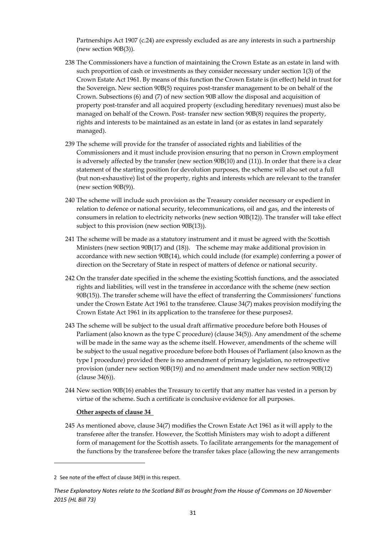Partnerships Act 1907 (c.24) are expressly excluded as are any interests in such a partnership (new section 90B(3)).

- 238 The Commissioners have a function of maintaining the Crown Estate as an estate in land with such proportion of cash or investments as they consider necessary under section 1(3) of the Crown Estate Act 1961. By means of this function the Crown Estate is (in effect) held in trust for the Sovereign. New section 90B(5) requires post-transfer management to be on behalf of the Crown. Subsections (6) and (7) of new section 90B allow the disposal and acquisition of property post-transfer and all acquired property (excluding hereditary revenues) must also be managed on behalf of the Crown. Post-transfer new section 90B(8) requires the property, rights and interests to be maintained as an estate in land (or as estates in land separately managed).
- 239 The scheme will provide for the transfer of associated rights and liabilities of the Commissioners and it must include provision ensuring that no person in Crown employment is adversely affected by the transfer (new section 90B(10) and (11)). In order that there is a clear statement of the starting position for devolution purposes, the scheme will also set out a full (but non‐exhaustive) list of the property, rights and interests which are relevant to the transfer (new section 90B(9)).
- 240 The scheme will include such provision as the Treasury consider necessary or expedient in relation to defence or national security, telecommunications, oil and gas, and the interests of consumers in relation to electricity networks (new section 90B(12)). The transfer will take effect subject to this provision (new section 90B(13)).
- 241 The scheme will be made as a statutory instrument and it must be agreed with the Scottish Ministers (new section 90B(17) and (18)). The scheme may make additional provision in accordance with new section 90B(14), which could include (for example) conferring a power of direction on the Secretary of State in respect of matters of defence or national security.
- 242 On the transfer date specified in the scheme the existing Scottish functions, and the associated rights and liabilities, will vest in the transferee in accordance with the scheme (new section 90B(15)). The transfer scheme will have the effect of transferring the Commissioners' functions under the Crown Estate Act 1961 to the transferee. Clause 34(7) makes provision modifying the Crown Estate Act 1961 in its application to the transferee for these purposes2.
- 243 The scheme will be subject to the usual draft affirmative procedure before both Houses of Parliament (also known as the type C procedure) (clause 34(5)). Any amendment of the scheme will be made in the same way as the scheme itself. However, amendments of the scheme will be subject to the usual negative procedure before both Houses of Parliament (also known as the type I procedure) provided there is no amendment of primary legislation, no retrospective provision (under new section 90B(19)) and no amendment made under new section 90B(12) (clause 34(6)).
- 244 New section 90B(16) enables the Treasury to certify that any matter has vested in a person by virtue of the scheme. Such a certificate is conclusive evidence for all purposes.

#### **Other aspects of clause 34**

245 As mentioned above, clause 34(7) modifies the Crown Estate Act 1961 as it will apply to the transferee after the transfer. However, the Scottish Ministers may wish to adopt a different form of management for the Scottish assets. To facilitate arrangements for the management of the functions by the transferee before the transfer takes place (allowing the new arrangements

<sup>2</sup> See note of the effect of clause 34(9) in this respect.

These Explanatory Notes relate to the Scotland Bill as brought from the House of Commons on 10 November *2015 (HL Bill 73)*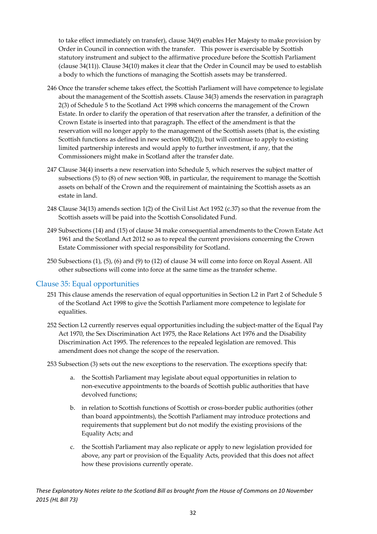to take effect immediately on transfer), clause 34(9) enables Her Majesty to make provision by Order in Council in connection with the transfer. This power is exercisable by Scottish statutory instrument and subject to the affirmative procedure before the Scottish Parliament (clause 34(11)). Clause 34(10) makes it clear that the Order in Council may be used to establish a body to which the functions of managing the Scottish assets may be transferred.

- 246 Once the transfer scheme takes effect, the Scottish Parliament will have competence to legislate about the management of the Scottish assets. Clause 34(3) amends the reservation in paragraph 2(3) of Schedule 5 to the Scotland Act 1998 which concerns the management of the Crown Estate. In order to clarify the operation of that reservation after the transfer, a definition of the Crown Estate is inserted into that paragraph. The effect of the amendment is that the reservation will no longer apply to the management of the Scottish assets (that is, the existing Scottish functions as defined in new section 90B(2)), but will continue to apply to existing limited partnership interests and would apply to further investment, if any, that the Commissioners might make in Scotland after the transfer date.
- 247 Clause 34(4) inserts a new reservation into Schedule 5, which reserves the subject matter of subsections (5) to (8) of new section 90B, in particular, the requirement to manage the Scottish assets on behalf of the Crown and the requirement of maintaining the Scottish assets as an estate in land.
- 248 Clause 34(13) amends section 1(2) of the Civil List Act 1952 (c.37) so that the revenue from the Scottish assets will be paid into the Scottish Consolidated Fund.
- 249 Subsections (14) and (15) of clause 34 make consequential amendments to the Crown Estate Act 1961 and the Scotland Act 2012 so as to repeal the current provisions concerning the Crown Estate Commissioner with special responsibility for Scotland.
- 250 Subsections (1), (5), (6) and (9) to (12) of clause 34 will come into force on Royal Assent. All other subsections will come into force at the same time as the transfer scheme.

#### Clause 35: Equal opportunities

- 251 This clause amends the reservation of equal opportunities in Section L2 in Part 2 of Schedule 5 of the Scotland Act 1998 to give the Scottish Parliament more competence to legislate for equalities.
- 252 Section L2 currently reserves equal opportunities including the subject-matter of the Equal Pay Act 1970, the Sex Discrimination Act 1975, the Race Relations Act 1976 and the Disability Discrimination Act 1995. The references to the repealed legislation are removed. This amendment does not change the scope of the reservation.
- 253 Subsection (3) sets out the new exceptions to the reservation. The exceptions specify that:
	- a. the Scottish Parliament may legislate about equal opportunities in relation to non‐executive appointments to the boards of Scottish public authorities that have devolved functions;
	- b. in relation to Scottish functions of Scottish or cross‐border public authorities (other than board appointments), the Scottish Parliament may introduce protections and requirements that supplement but do not modify the existing provisions of the Equality Acts; and
	- c. the Scottish Parliament may also replicate or apply to new legislation provided for above, any part or provision of the Equality Acts, provided that this does not affect how these provisions currently operate.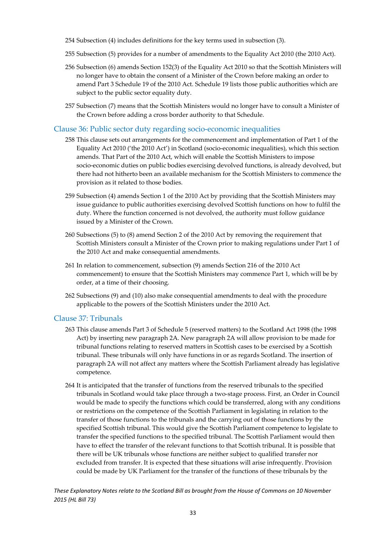- 254 Subsection (4) includes definitions for the key terms used in subsection (3).
- 255 Subsection (5) provides for a number of amendments to the Equality Act 2010 (the 2010 Act).
- 256 Subsection (6) amends Section 152(3) of the Equality Act 2010 so that the Scottish Ministers will no longer have to obtain the consent of a Minister of the Crown before making an order to amend Part 3 Schedule 19 of the 2010 Act. Schedule 19 lists those public authorities which are subject to the public sector equality duty.
- 257 Subsection (7) means that the Scottish Ministers would no longer have to consult a Minister of the Crown before adding a cross border authority to that Schedule.

#### Clause 36: Public sector duty regarding socio‐economic inequalities

- 258 This clause sets out arrangements for the commencement and implementation of Part 1 of the Equality Act 2010 ('the 2010 Act') in Scotland (socio‐economic inequalities), which this section amends. That Part of the 2010 Act, which will enable the Scottish Ministers to impose socio‐economic duties on public bodies exercising devolved functions, is already devolved, but there had not hitherto been an available mechanism for the Scottish Ministers to commence the provision as it related to those bodies.
- 259 Subsection (4) amends Section 1 of the 2010 Act by providing that the Scottish Ministers may issue guidance to public authorities exercising devolved Scottish functions on how to fulfil the duty. Where the function concerned is not devolved, the authority must follow guidance issued by a Minister of the Crown.
- 260 Subsections (5) to (8) amend Section 2 of the 2010 Act by removing the requirement that Scottish Ministers consult a Minister of the Crown prior to making regulations under Part 1 of the 2010 Act and make consequential amendments.
- 261 In relation to commencement, subsection (9) amends Section 216 of the 2010 Act commencement) to ensure that the Scottish Ministers may commence Part 1, which will be by order, at a time of their choosing.
- 262 Subsections (9) and (10) also make consequential amendments to deal with the procedure applicable to the powers of the Scottish Ministers under the 2010 Act.

#### Clause 37: Tribunals

- 263 This clause amends Part 3 of Schedule 5 (reserved matters) to the Scotland Act 1998 (the 1998 Act) by inserting new paragraph 2A. New paragraph 2A will allow provision to be made for tribunal functions relating to reserved matters in Scottish cases to be exercised by a Scottish tribunal. These tribunals will only have functions in or as regards Scotland. The insertion of paragraph 2A will not affect any matters where the Scottish Parliament already has legislative competence.
- 264 It is anticipated that the transfer of functions from the reserved tribunals to the specified tribunals in Scotland would take place through a two‐stage process. First, an Order in Council would be made to specify the functions which could be transferred, along with any conditions or restrictions on the competence of the Scottish Parliament in legislating in relation to the transfer of those functions to the tribunals and the carrying out of those functions by the specified Scottish tribunal. This would give the Scottish Parliament competence to legislate to transfer the specified functions to the specified tribunal. The Scottish Parliament would then have to effect the transfer of the relevant functions to that Scottish tribunal. It is possible that there will be UK tribunals whose functions are neither subject to qualified transfer nor excluded from transfer. It is expected that these situations will arise infrequently. Provision could be made by UK Parliament for the transfer of the functions of these tribunals by the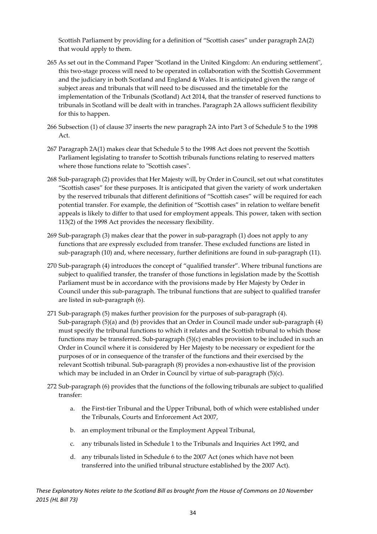Scottish Parliament by providing for a definition of "Scottish cases" under paragraph 2A(2) that would apply to them.

- 265 As set out in the Command Paper "Scotland in the United Kingdom: An enduring settlement", this two‐stage process will need to be operated in collaboration with the Scottish Government and the judiciary in both Scotland and England & Wales. It is anticipated given the range of subject areas and tribunals that will need to be discussed and the timetable for the implementation of the Tribunals (Scotland) Act 2014, that the transfer of reserved functions to tribunals in Scotland will be dealt with in tranches. Paragraph 2A allows sufficient flexibility for this to happen.
- 266 Subsection (1) of clause 37 inserts the new paragraph 2A into Part 3 of Schedule 5 to the 1998 Act.
- 267 Paragraph 2A(1) makes clear that Schedule 5 to the 1998 Act does not prevent the Scottish Parliament legislating to transfer to Scottish tribunals functions relating to reserved matters where those functions relate to "Scottish cases".
- 268 Sub‐paragraph (2) provides that Her Majesty will, by Order in Council, set out what constitutes "Scottish cases" for these purposes. It is anticipated that given the variety of work undertaken by the reserved tribunals that different definitions of "Scottish cases" will be required for each potential transfer. For example, the definition of "Scottish cases" in relation to welfare benefit appeals is likely to differ to that used for employment appeals. This power, taken with section 113(2) of the 1998 Act provides the necessary flexibility.
- 269 Sub‐paragraph (3) makes clear that the power in sub‐paragraph (1) does not apply to any functions that are expressly excluded from transfer. These excluded functions are listed in sub-paragraph (10) and, where necessary, further definitions are found in sub-paragraph (11).
- 270 Sub-paragraph (4) introduces the concept of "qualified transfer". Where tribunal functions are subject to qualified transfer, the transfer of those functions in legislation made by the Scottish Parliament must be in accordance with the provisions made by Her Majesty by Order in Council under this sub‐paragraph. The tribunal functions that are subject to qualified transfer are listed in sub‐paragraph (6).
- 271 Sub‐paragraph (5) makes further provision for the purposes of sub‐paragraph (4). Sub-paragraph  $(5)(a)$  and (b) provides that an Order in Council made under sub-paragraph  $(4)$ must specify the tribunal functions to which it relates and the Scottish tribunal to which those functions may be transferred. Sub‐paragraph (5)(c) enables provision to be included in such an Order in Council where it is considered by Her Majesty to be necessary or expedient for the purposes of or in consequence of the transfer of the functions and their exercised by the relevant Scottish tribunal. Sub‐paragraph (8) provides a non‐exhaustive list of the provision which may be included in an Order in Council by virtue of sub-paragraph  $(5)(c)$ .
- 272 Sub‐paragraph (6) provides that the functions of the following tribunals are subject to qualified transfer:
	- a. the First‐tier Tribunal and the Upper Tribunal, both of which were established under the Tribunals, Courts and Enforcement Act 2007,
	- b. an employment tribunal or the Employment Appeal Tribunal,
	- c. any tribunals listed in Schedule 1 to the Tribunals and Inquiries Act 1992, and
	- d. any tribunals listed in Schedule 6 to the 2007 Act (ones which have not been transferred into the unified tribunal structure established by the 2007 Act).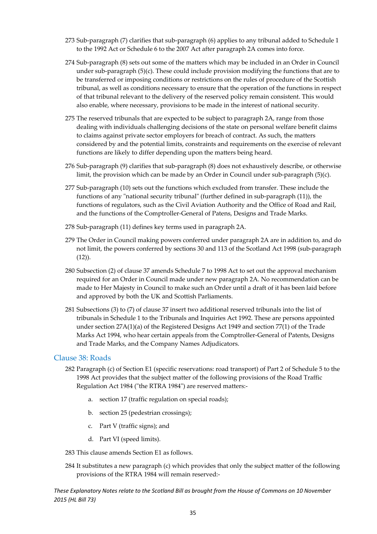- 273 Sub‐paragraph (7) clarifies that sub‐paragraph (6) applies to any tribunal added to Schedule 1 to the 1992 Act or Schedule 6 to the 2007 Act after paragraph 2A comes into force.
- 274 Sub‐paragraph (8) sets out some of the matters which may be included in an Order in Council under sub-paragraph (5)(c). These could include provision modifying the functions that are to be transferred or imposing conditions or restrictions on the rules of procedure of the Scottish tribunal, as well as conditions necessary to ensure that the operation of the functions in respect of that tribunal relevant to the delivery of the reserved policy remain consistent. This would also enable, where necessary, provisions to be made in the interest of national security.
- 275 The reserved tribunals that are expected to be subject to paragraph 2A, range from those dealing with individuals challenging decisions of the state on personal welfare benefit claims to claims against private sector employers for breach of contract. As such, the matters considered by and the potential limits, constraints and requirements on the exercise of relevant functions are likely to differ depending upon the matters being heard.
- 276 Sub‐paragraph (9) clarifies that sub‐paragraph (8) does not exhaustively describe, or otherwise limit, the provision which can be made by an Order in Council under sub‐paragraph (5)(c).
- 277 Sub-paragraph (10) sets out the functions which excluded from transfer. These include the functions of any "national security tribunal" (further defined in sub-paragraph (11)), the functions of regulators, such as the Civil Aviation Authority and the Office of Road and Rail, and the functions of the Comptroller‐General of Patens, Designs and Trade Marks.
- 278 Sub‐paragraph (11) defines key terms used in paragraph 2A.
- 279 The Order in Council making powers conferred under paragraph 2A are in addition to, and do not limit, the powers conferred by sections 30 and 113 of the Scotland Act 1998 (sub‐paragraph  $(12)$ ).
- 280 Subsection (2) of clause 37 amends Schedule 7 to 1998 Act to set out the approval mechanism required for an Order in Council made under new paragraph 2A. No recommendation can be made to Her Majesty in Council to make such an Order until a draft of it has been laid before and approved by both the UK and Scottish Parliaments.
- 281 Subsections (3) to (7) of clause 37 insert two additional reserved tribunals into the list of tribunals in Schedule 1 to the Tribunals and Inquiries Act 1992. These are persons appointed under section 27A(1)(a) of the Registered Designs Act 1949 and section 77(1) of the Trade Marks Act 1994, who hear certain appeals from the Comptroller‐General of Patents, Designs and Trade Marks, and the Company Names Adjudicators.

#### Clause 38: Roads

- 282 Paragraph (c) of Section E1 (specific reservations: road transport) of Part 2 of Schedule 5 to the 1998 Act provides that the subject matter of the following provisions of the Road Traffic Regulation Act 1984 ("the RTRA 1984") are reserved matters:
	- a. section 17 (traffic regulation on special roads);
	- b. section 25 (pedestrian crossings);
	- c. Part V (traffic signs); and
	- d. Part VI (speed limits).
- 283 This clause amends Section E1 as follows.
- 284 It substitutes a new paragraph (c) which provides that only the subject matter of the following provisions of the RTRA 1984 will remain reserved:‐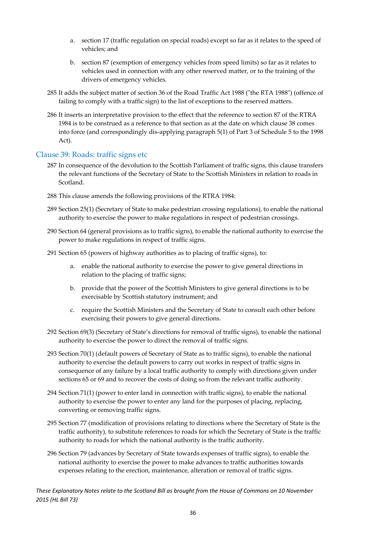- a. section 17 (traffic regulation on special roads) except so far as it relates to the speed of vehicles; and
- b. section 87 (exemption of emergency vehicles from speed limits) so far as it relates to vehicles used in connection with any other reserved matter, or to the training of the drivers of emergency vehicles.
- 285 It adds the subject matter of section 36 of the Road Traffic Act 1988 ("the RTA 1988") (offence of failing to comply with a traffic sign) to the list of exceptions to the reserved matters.
- 286 It inserts an interpretative provision to the effect that the reference to section 87 of the RTRA 1984 is to be construed as a reference to that section as at the date on which clause 38 comes into force (and correspondingly dis‐applying paragraph 5(1) of Part 3 of Schedule 5 to the 1998 Act).

#### Clause 39: Roads: traffic signs etc

- 287 In consequence of the devolution to the Scottish Parliament of traffic signs, this clause transfers the relevant functions of the Secretary of State to the Scottish Ministers in relation to roads in Scotland.
- 288 This clause amends the following provisions of the RTRA 1984:
- 289 Section 25(1) (Secretary of State to make pedestrian crossing regulations), to enable the national authority to exercise the power to make regulations in respect of pedestrian crossings.
- 290 Section 64 (general provisions as to traffic signs), to enable the national authority to exercise the power to make regulations in respect of traffic signs.
- 291 Section 65 (powers of highway authorities as to placing of traffic signs), to:
	- a. enable the national authority to exercise the power to give general directions in relation to the placing of traffic signs;
	- b. provide that the power of the Scottish Ministers to give general directions is to be exercisable by Scottish statutory instrument; and
	- c. require the Scottish Ministers and the Secretary of State to consult each other before exercising their powers to give general directions.
- 292 Section 69(3) (Secretary of State's directions for removal of traffic signs), to enable the national authority to exercise the power to direct the removal of traffic signs.
- 293 Section 70(1) (default powers of Secretary of State as to traffic signs), to enable the national authority to exercise the default powers to carry out works in respect of traffic signs in consequence of any failure by a local traffic authority to comply with directions given under sections 65 or 69 and to recover the costs of doing so from the relevant traffic authority.
- 294 Section 71(1) (power to enter land in connection with traffic signs), to enable the national authority to exercise the power to enter any land for the purposes of placing, replacing, converting or removing traffic signs.
- 295 Section 77 (modification of provisions relating to directions where the Secretary of State is the traffic authority), to substitute references to roads for which the Secretary of State is the traffic authority to roads for which the national authority is the traffic authority.
- 296 Section 79 (advances by Secretary of State towards expenses of traffic signs), to enable the national authority to exercise the power to make advances to traffic authorities towards expenses relating to the erection, maintenance, alteration or removal of traffic signs.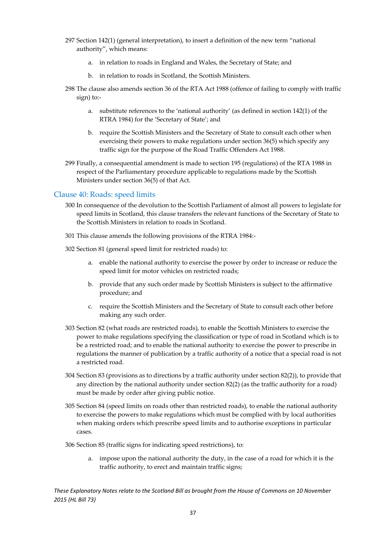- 297 Section 142(1) (general interpretation), to insert a definition of the new term "national authority", which means:
	- a. in relation to roads in England and Wales, the Secretary of State; and
	- b. in relation to roads in Scotland, the Scottish Ministers.
- 298 The clause also amends section 36 of the RTA Act 1988 (offence of failing to comply with traffic sign) to:‐
	- a. substitute references to the 'national authority' (as defined in section 142(1) of the RTRA 1984) for the 'Secretary of State'; and
	- b. require the Scottish Ministers and the Secretary of State to consult each other when exercising their powers to make regulations under section 36(5) which specify any traffic sign for the purpose of the Road Traffic Offenders Act 1988.
- 299 Finally, a consequential amendment is made to section 195 (regulations) of the RTA 1988 in respect of the Parliamentary procedure applicable to regulations made by the Scottish Ministers under section 36(5) of that Act.

#### Clause 40: Roads: speed limits

- 300 In consequence of the devolution to the Scottish Parliament of almost all powers to legislate for speed limits in Scotland, this clause transfers the relevant functions of the Secretary of State to the Scottish Ministers in relation to roads in Scotland.
- 301 This clause amends the following provisions of the RTRA 1984:‐
- 302 Section 81 (general speed limit for restricted roads) to:
	- a. enable the national authority to exercise the power by order to increase or reduce the speed limit for motor vehicles on restricted roads;
	- b. provide that any such order made by Scottish Ministers is subject to the affirmative procedure; and
	- c. require the Scottish Ministers and the Secretary of State to consult each other before making any such order.
- 303 Section 82 (what roads are restricted roads), to enable the Scottish Ministers to exercise the power to make regulations specifying the classification or type of road in Scotland which is to be a restricted road; and to enable the national authority to exercise the power to prescribe in regulations the manner of publication by a traffic authority of a notice that a special road is not a restricted road.
- 304 Section 83 (provisions as to directions by a traffic authority under section 82(2)), to provide that any direction by the national authority under section 82(2) (as the traffic authority for a road) must be made by order after giving public notice.
- 305 Section 84 (speed limits on roads other than restricted roads), to enable the national authority to exercise the powers to make regulations which must be complied with by local authorities when making orders which prescribe speed limits and to authorise exceptions in particular cases.
- 306 Section 85 (traffic signs for indicating speed restrictions), to:
	- a. impose upon the national authority the duty, in the case of a road for which it is the traffic authority, to erect and maintain traffic signs;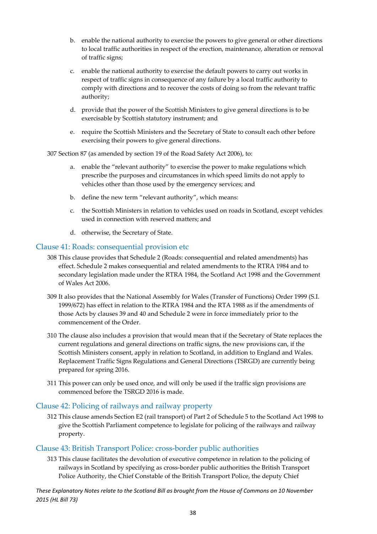- b. enable the national authority to exercise the powers to give general or other directions to local traffic authorities in respect of the erection, maintenance, alteration or removal of traffic signs;
- c. enable the national authority to exercise the default powers to carry out works in respect of traffic signs in consequence of any failure by a local traffic authority to comply with directions and to recover the costs of doing so from the relevant traffic authority;
- d. provide that the power of the Scottish Ministers to give general directions is to be exercisable by Scottish statutory instrument; and
- e. require the Scottish Ministers and the Secretary of State to consult each other before exercising their powers to give general directions.

307 Section 87 (as amended by section 19 of the Road Safety Act 2006), to:

- a. enable the "relevant authority" to exercise the power to make regulations which prescribe the purposes and circumstances in which speed limits do not apply to vehicles other than those used by the emergency services; and
- b. define the new term "relevant authority", which means:
- c. the Scottish Ministers in relation to vehicles used on roads in Scotland, except vehicles used in connection with reserved matters; and
- d. otherwise, the Secretary of State.

#### Clause 41: Roads: consequential provision etc

- 308 This clause provides that Schedule 2 (Roads: consequential and related amendments) has effect. Schedule 2 makes consequential and related amendments to the RTRA 1984 and to secondary legislation made under the RTRA 1984, the Scotland Act 1998 and the Government of Wales Act 2006.
- 309 It also provides that the National Assembly for Wales (Transfer of Functions) Order 1999 (S.I. 1999/672) has effect in relation to the RTRA 1984 and the RTA 1988 as if the amendments of those Acts by clauses 39 and 40 and Schedule 2 were in force immediately prior to the commencement of the Order.
- 310 The clause also includes a provision that would mean that if the Secretary of State replaces the current regulations and general directions on traffic signs, the new provisions can, if the Scottish Ministers consent, apply in relation to Scotland, in addition to England and Wales. Replacement Traffic Signs Regulations and General Directions (TSRGD) are currently being prepared for spring 2016.
- 311 This power can only be used once, and will only be used if the traffic sign provisions are commenced before the TSRGD 2016 is made.

#### Clause 42: Policing of railways and railway property

312 This clause amends Section E2 (rail transport) of Part 2 of Schedule 5 to the Scotland Act 1998 to give the Scottish Parliament competence to legislate for policing of the railways and railway property.

#### Clause 43: British Transport Police: cross‐border public authorities

313 This clause facilitates the devolution of executive competence in relation to the policing of railways in Scotland by specifying as cross‐border public authorities the British Transport Police Authority, the Chief Constable of the British Transport Police, the deputy Chief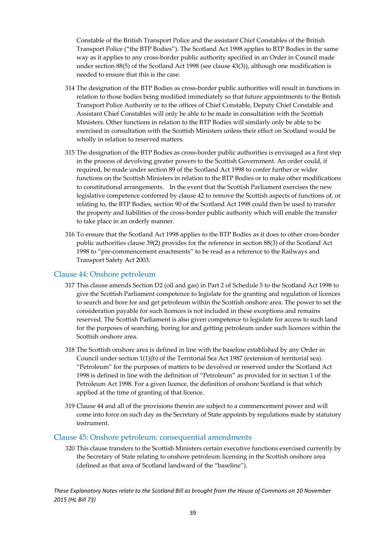Constable of the British Transport Police and the assistant Chief Constables of the British Transport Police ("the BTP Bodies"). The Scotland Act 1998 applies to BTP Bodies in the same way as it applies to any cross‐border public authority specified in an Order in Council made under section 88(5) of the Scotland Act 1998 (see clause 43(3)), although one modification is needed to ensure that this is the case.

- 314 The designation of the BTP Bodies as cross‐border public authorities will result in functions in relation to those bodies being modified immediately so that future appointments to the British Transport Police Authority or to the offices of Chief Constable, Deputy Chief Constable and Assistant Chief Constables will only be able to be made in consultation with the Scottish Ministers. Other functions in relation to the BTP Bodies will similarly only be able to be exercised in consultation with the Scottish Ministers unless their effect on Scotland would be wholly in relation to reserved matters.
- 315 The designation of the BTP Bodies as cross‐border public authorities is envisaged as a first step in the process of devolving greater powers to the Scottish Government. An order could, if required, be made under section 89 of the Scotland Act 1998 to confer further or wider functions on the Scottish Ministers in relation to the BTP Bodies or to make other modifications to constitutional arrangements. In the event that the Scottish Parliament exercises the new legislative competence conferred by clause 42 to remove the Scottish aspects of functions of, or relating to, the BTP Bodies, section 90 of the Scotland Act 1998 could then be used to transfer the property and liabilities of the cross‐border public authority which will enable the transfer to take place in an orderly manner.
- 316 To ensure that the Scotland Act 1998 applies to the BTP Bodies as it does to other cross‐border public authorities clause 39(2) provides for the reference in section 88(3) of the Scotland Act 1998 to "pre-commencement enactments" to be read as a reference to the Railways and Transport Safety Act 2003.

#### Clause 44: Onshore petroleum

- 317 This clause amends Section D2 (oil and gas) in Part 2 of Schedule 5 to the Scotland Act 1998 to give the Scottish Parliament competence to legislate for the granting and regulation of licences to search and bore for and get petroleum within the Scottish onshore area. The power to set the consideration payable for such licences is not included in these exceptions and remains reserved. The Scottish Parliament is also given competence to legislate for access to such land for the purposes of searching, boring for and getting petroleum under such licences within the Scottish onshore area.
- 318 The Scottish onshore area is defined in line with the baseline established by any Order in Council under section 1(1)(b) of the Territorial Sea Act 1987 (extension of territorial sea). "Petroleum" for the purposes of matters to be devolved or reserved under the Scotland Act 1998 is defined in line with the definition of "Petroleum" as provided for in section 1 of the Petroleum Act 1998. For a given licence, the definition of onshore Scotland is that which applied at the time of granting of that licence.
- 319 Clause 44 and all of the provisions therein are subject to a commencement power and will come into force on such day as the Secretary of State appoints by regulations made by statutory instrument.

#### Clause 45: Onshore petroleum: consequential amendments

320 This clause transfers to the Scottish Ministers certain executive functions exercised currently by the Secretary of State relating to onshore petroleum licensing in the Scottish onshore area (defined as that area of Scotland landward of the "baseline").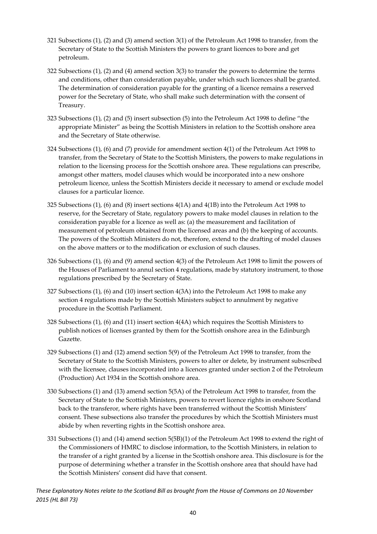- 321 Subsections (1), (2) and (3) amend section 3(1) of the Petroleum Act 1998 to transfer, from the Secretary of State to the Scottish Ministers the powers to grant licences to bore and get petroleum.
- 322 Subsections (1), (2) and (4) amend section 3(3) to transfer the powers to determine the terms and conditions, other than consideration payable, under which such licences shall be granted. The determination of consideration payable for the granting of a licence remains a reserved power for the Secretary of State, who shall make such determination with the consent of Treasury.
- 323 Subsections (1), (2) and (5) insert subsection (5) into the Petroleum Act 1998 to define "the appropriate Minister" as being the Scottish Ministers in relation to the Scottish onshore area and the Secretary of State otherwise.
- 324 Subsections (1), (6) and (7) provide for amendment section 4(1) of the Petroleum Act 1998 to transfer, from the Secretary of State to the Scottish Ministers, the powers to make regulations in relation to the licensing process for the Scottish onshore area. These regulations can prescribe, amongst other matters, model clauses which would be incorporated into a new onshore petroleum licence, unless the Scottish Ministers decide it necessary to amend or exclude model clauses for a particular licence.
- 325 Subsections (1), (6) and (8) insert sections 4(1A) and 4(1B) into the Petroleum Act 1998 to reserve, for the Secretary of State, regulatory powers to make model clauses in relation to the consideration payable for a licence as well as: (a) the measurement and facilitation of measurement of petroleum obtained from the licensed areas and (b) the keeping of accounts. The powers of the Scottish Ministers do not, therefore, extend to the drafting of model clauses on the above matters or to the modification or exclusion of such clauses.
- 326 Subsections (1), (6) and (9) amend section 4(3) of the Petroleum Act 1998 to limit the powers of the Houses of Parliament to annul section 4 regulations, made by statutory instrument, to those regulations prescribed by the Secretary of State.
- 327 Subsections (1), (6) and (10) insert section 4(3A) into the Petroleum Act 1998 to make any section 4 regulations made by the Scottish Ministers subject to annulment by negative procedure in the Scottish Parliament.
- 328 Subsections (1), (6) and (11) insert section 4(4A) which requires the Scottish Ministers to publish notices of licenses granted by them for the Scottish onshore area in the Edinburgh Gazette.
- 329 Subsections (1) and (12) amend section 5(9) of the Petroleum Act 1998 to transfer, from the Secretary of State to the Scottish Ministers, powers to alter or delete, by instrument subscribed with the licensee, clauses incorporated into a licences granted under section 2 of the Petroleum (Production) Act 1934 in the Scottish onshore area.
- 330 Subsections (1) and (13) amend section 5(5A) of the Petroleum Act 1998 to transfer, from the Secretary of State to the Scottish Ministers, powers to revert licence rights in onshore Scotland back to the transferor, where rights have been transferred without the Scottish Ministers' consent. These subsections also transfer the procedures by which the Scottish Ministers must abide by when reverting rights in the Scottish onshore area.
- 331 Subsections (1) and (14) amend section 5(5B)(1) of the Petroleum Act 1998 to extend the right of the Commissioners of HMRC to disclose information, to the Scottish Ministers, in relation to the transfer of a right granted by a license in the Scottish onshore area. This disclosure is for the purpose of determining whether a transfer in the Scottish onshore area that should have had the Scottish Ministers' consent did have that consent.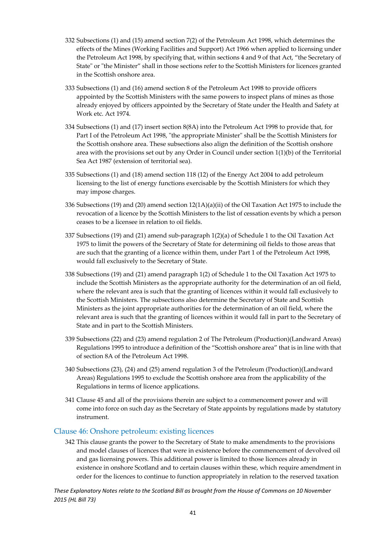- 332 Subsections (1) and (15) amend section 7(2) of the Petroleum Act 1998, which determines the effects of the Mines (Working Facilities and Support) Act 1966 when applied to licensing under the Petroleum Act 1998, by specifying that, within sections 4 and 9 of that Act, "the Secretary of State" or "the Minister" shall in those sections refer to the Scottish Ministers for licences granted in the Scottish onshore area.
- 333 Subsections (1) and (16) amend section 8 of the Petroleum Act 1998 to provide officers appointed by the Scottish Ministers with the same powers to inspect plans of mines as those already enjoyed by officers appointed by the Secretary of State under the Health and Safety at Work etc. Act 1974.
- 334 Subsections (1) and (17) insert section 8(8A) into the Petroleum Act 1998 to provide that, for Part I of the Petroleum Act 1998, "the appropriate Minister" shall be the Scottish Ministers for the Scottish onshore area. These subsections also align the definition of the Scottish onshore area with the provisions set out by any Order in Council under section 1(1)(b) of the Territorial Sea Act 1987 (extension of territorial sea).
- 335 Subsections (1) and (18) amend section 118 (12) of the Energy Act 2004 to add petroleum licensing to the list of energy functions exercisable by the Scottish Ministers for which they may impose charges.
- 336 Subsections (19) and (20) amend section 12(1A)(a)(ii) of the Oil Taxation Act 1975 to include the revocation of a licence by the Scottish Ministers to the list of cessation events by which a person ceases to be a licensee in relation to oil fields.
- 337 Subsections (19) and (21) amend sub‐paragraph 1(2)(a) of Schedule 1 to the Oil Taxation Act 1975 to limit the powers of the Secretary of State for determining oil fields to those areas that are such that the granting of a licence within them, under Part 1 of the Petroleum Act 1998, would fall exclusively to the Secretary of State.
- 338 Subsections (19) and (21) amend paragraph 1(2) of Schedule 1 to the Oil Taxation Act 1975 to include the Scottish Ministers as the appropriate authority for the determination of an oil field, where the relevant area is such that the granting of licences within it would fall exclusively to the Scottish Ministers. The subsections also determine the Secretary of State and Scottish Ministers as the joint appropriate authorities for the determination of an oil field, where the relevant area is such that the granting of licences within it would fall in part to the Secretary of State and in part to the Scottish Ministers.
- 339 Subsections (22) and (23) amend regulation 2 of The Petroleum (Production)(Landward Areas) Regulations 1995 to introduce a definition of the "Scottish onshore area" that is in line with that of section 8A of the Petroleum Act 1998.
- 340 Subsections (23), (24) and (25) amend regulation 3 of the Petroleum (Production)(Landward Areas) Regulations 1995 to exclude the Scottish onshore area from the applicability of the Regulations in terms of licence applications.
- 341 Clause 45 and all of the provisions therein are subject to a commencement power and will come into force on such day as the Secretary of State appoints by regulations made by statutory instrument.

#### Clause 46: Onshore petroleum: existing licences

342 This clause grants the power to the Secretary of State to make amendments to the provisions and model clauses of licences that were in existence before the commencement of devolved oil and gas licensing powers. This additional power is limited to those licences already in existence in onshore Scotland and to certain clauses within these, which require amendment in order for the licences to continue to function appropriately in relation to the reserved taxation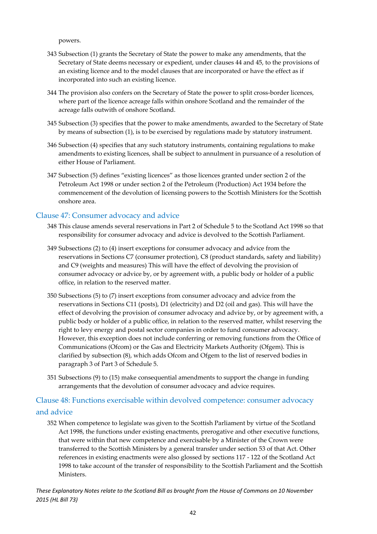powers.

- 343 Subsection (1) grants the Secretary of State the power to make any amendments, that the Secretary of State deems necessary or expedient, under clauses 44 and 45, to the provisions of an existing licence and to the model clauses that are incorporated or have the effect as if incorporated into such an existing licence.
- 344 The provision also confers on the Secretary of State the power to split cross-border licences, where part of the licence acreage falls within onshore Scotland and the remainder of the acreage falls outwith of onshore Scotland.
- 345 Subsection (3) specifies that the power to make amendments, awarded to the Secretary of State by means of subsection (1), is to be exercised by regulations made by statutory instrument.
- 346 Subsection (4) specifies that any such statutory instruments, containing regulations to make amendments to existing licences, shall be subject to annulment in pursuance of a resolution of either House of Parliament.
- 347 Subsection (5) defines "existing licences" as those licences granted under section 2 of the Petroleum Act 1998 or under section 2 of the Petroleum (Production) Act 1934 before the commencement of the devolution of licensing powers to the Scottish Ministers for the Scottish onshore area.

#### Clause 47: Consumer advocacy and advice

- 348 This clause amends several reservations in Part 2 of Schedule 5 to the Scotland Act 1998 so that responsibility for consumer advocacy and advice is devolved to the Scottish Parliament.
- 349 Subsections (2) to (4) insert exceptions for consumer advocacy and advice from the reservations in Sections C7 (consumer protection), C8 (product standards, safety and liability) and C9 (weights and measures) This will have the effect of devolving the provision of consumer advocacy or advice by, or by agreement with, a public body or holder of a public office, in relation to the reserved matter.
- 350 Subsections (5) to (7) insert exceptions from consumer advocacy and advice from the reservations in Sections C11 (posts), D1 (electricity) and D2 (oil and gas). This will have the effect of devolving the provision of consumer advocacy and advice by, or by agreement with, a public body or holder of a public office, in relation to the reserved matter, whilst reserving the right to levy energy and postal sector companies in order to fund consumer advocacy. However, this exception does not include conferring or removing functions from the Office of Communications (Ofcom) or the Gas and Electricity Markets Authority (Ofgem). This is clarified by subsection (8), which adds Ofcom and Ofgem to the list of reserved bodies in paragraph 3 of Part 3 of Schedule 5.
- 351 Subsections (9) to (15) make consequential amendments to support the change in funding arrangements that the devolution of consumer advocacy and advice requires.

#### Clause 48: Functions exercisable within devolved competence: consumer advocacy

#### and advice

352 When competence to legislate was given to the Scottish Parliament by virtue of the Scotland Act 1998, the functions under existing enactments, prerogative and other executive functions, that were within that new competence and exercisable by a Minister of the Crown were transferred to the Scottish Ministers by a general transfer under section 53 of that Act. Other references in existing enactments were also glossed by sections 117 ‐ 122 of the Scotland Act 1998 to take account of the transfer of responsibility to the Scottish Parliament and the Scottish Ministers.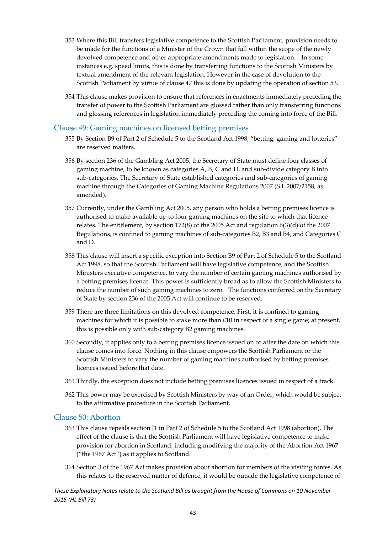- 353 Where this Bill transfers legislative competence to the Scottish Parliament, provision needs to be made for the functions of a Minister of the Crown that fall within the scope of the newly devolved competence and other appropriate amendments made to legislation. In some instances e.g. speed limits, this is done by transferring functions to the Scottish Ministers by textual amendment of the relevant legislation. However in the case of devolution to the Scottish Parliament by virtue of clause 47 this is done by updating the operation of section 53.
- 354 This clause makes provision to ensure that references in enactments immediately preceding the transfer of power to the Scottish Parliament are glossed rather than only transferring functions and glossing references in legislation immediately preceding the coming into force of the Bill.

#### Clause 49: Gaming machines on licensed betting premises

- 355 By Section B9 of Part 2 of Schedule 5 to the Scotland Act 1998, "betting, gaming and lotteries" are reserved matters.
- 356 By section 236 of the Gambling Act 2005, the Secretary of State must define four classes of gaming machine, to be known as categories A, B, C and D, and sub‐divide category B into sub‐categories. The Secretary of State established categories and sub‐categories of gaming machine through the Categories of Gaming Machine Regulations 2007 (S.I. 2007/2158, as amended).
- 357 Currently, under the Gambling Act 2005, any person who holds a betting premises licence is authorised to make available up to four gaming machines on the site to which that licence relates. The entitlement, by section 172(8) of the 2005 Act and regulation 6(3)(d) of the 2007 Regulations, is confined to gaming machines of sub‐categories B2, B3 and B4, and Categories C and D.
- 358 This clause will insert a specific exception into Section B9 of Part 2 of Schedule 5 to the Scotland Act 1998, so that the Scottish Parliament will have legislative competence, and the Scottish Ministers executive competence, to vary the number of certain gaming machines authorised by a betting premises licence. This power is sufficiently broad as to allow the Scottish Ministers to reduce the number of such gaming machines to zero. The functions conferred on the Secretary of State by section 236 of the 2005 Act will continue to be reserved.
- 359 There are three limitations on this devolved competence. First, it is confined to gaming machines for which it is possible to stake more than £10 in respect of a single game; at present, this is possible only with sub‐category B2 gaming machines.
- 360 Secondly, it applies only to a betting premises licence issued on or after the date on which this clause comes into force. Nothing in this clause empowers the Scottish Parliament or the Scottish Ministers to vary the number of gaming machines authorised by betting premises licences issued before that date.
- 361 Thirdly, the exception does not include betting premises licences issued in respect of a track.
- 362 This power may be exercised by Scottish Ministers by way of an Order, which would be subject to the affirmative procedure in the Scottish Parliament.

#### Clause 50: Abortion

- 363 This clause repeals section J1 in Part 2 of Schedule 5 to the Scotland Act 1998 (abortion). The effect of the clause is that the Scottish Parliament will have legislative competence to make provision for abortion in Scotland, including modifying the majority of the Abortion Act 1967 ("the 1967 Act") as it applies to Scotland.
- 364 Section 3 of the 1967 Act makes provision about abortion for members of the visiting forces. As this relates to the reserved matter of defence, it would be outside the legislative competence of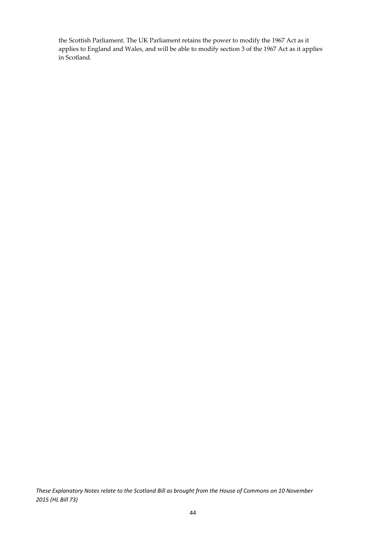the Scottish Parliament. The UK Parliament retains the power to modify the 1967 Act as it applies to England and Wales, and will be able to modify section 3 of the 1967 Act as it applies in Scotland.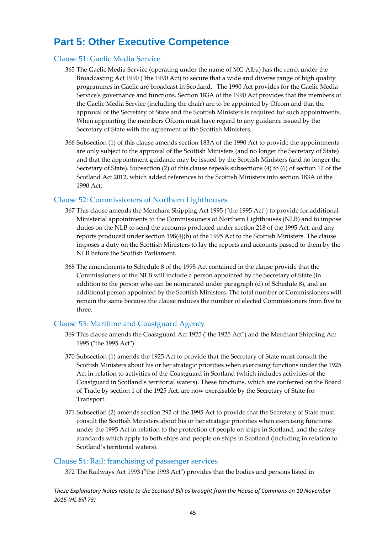### **Part 5: Other Executive Competence**

#### Clause 51: Gaelic Media Service

- 365 The Gaelic Media Service (operating under the name of MG Alba) has the remit under the Broadcasting Act 1990 ("the 1990 Act) to secure that a wide and diverse range of high quality programmes in Gaelic are broadcast in Scotland. The 1990 Act provides for the Gaelic Media Service's governance and functions. Section 183A of the 1990 Act provides that the members of the Gaelic Media Service (including the chair) are to be appointed by Ofcom and that the approval of the Secretary of State and the Scottish Ministers is required for such appointments. When appointing the members Ofcom must have regard to any guidance issued by the Secretary of State with the agreement of the Scottish Ministers.
- 366 Subsection (1) of this clause amends section 183A of the 1990 Act to provide the appointments are only subject to the approval of the Scottish Ministers (and no longer the Secretary of State) and that the appointment guidance may be issued by the Scottish Ministers (and no longer the Secretary of State). Subsection (2) of this clause repeals subsections (4) to (6) of section 17 of the Scotland Act 2012, which added references to the Scottish Ministers into section 183A of the 1990 Act.

#### Clause 52: Commissioners of Northern Lighthouses

- 367 This clause amends the Merchant Shipping Act 1995 ("the 1995 Act") to provide for additional Ministerial appointments to the Commissioners of Northern Lighthouses (NLB) and to impose duties on the NLB to send the accounts produced under section 218 of the 1995 Act, and any reports produced under section 198(4)(b) of the 1995 Act to the Scottish Ministers. The clause imposes a duty on the Scottish Ministers to lay the reports and accounts passed to them by the NLB before the Scottish Parliament.
- 368 The amendments to Schedule 8 of the 1995 Act contained in the clause provide that the Commissioners of the NLB will include a person appointed by the Secretary of State (in addition to the person who can be nominated under paragraph (d) of Schedule 8), and an additional person appointed by the Scottish Ministers. The total number of Commissioners will remain the same because the clause reduces the number of elected Commissioners from five to three.

#### Clause 53: Maritime and Coastguard Agency

- 369 This clause amends the Coastguard Act 1925 ("the 1925 Act") and the Merchant Shipping Act 1995 ("the 1995 Act").
- 370 Subsection (1) amends the 1925 Act to provide that the Secretary of State must consult the Scottish Ministers about his or her strategic priorities when exercising functions under the 1925 Act in relation to activities of the Coastguard in Scotland (which includes activities of the Coastguard in Scotland's territorial waters). These functions, which are conferred on the Board of Trade by section 1 of the 1925 Act, are now exercisable by the Secretary of State for Transport.
- 371 Subsection (2) amends section 292 of the 1995 Act to provide that the Secretary of State must consult the Scottish Ministers about his or her strategic priorities when exercising functions under the 1995 Act in relation to the protection of people on ships in Scotland, and the safety standards which apply to both ships and people on ships in Scotland (including in relation to Scotland's territorial waters).

#### Clause 54: Rail: franchising of passenger services

372 The Railways Act 1993 ("the 1993 Act") provides that the bodies and persons listed in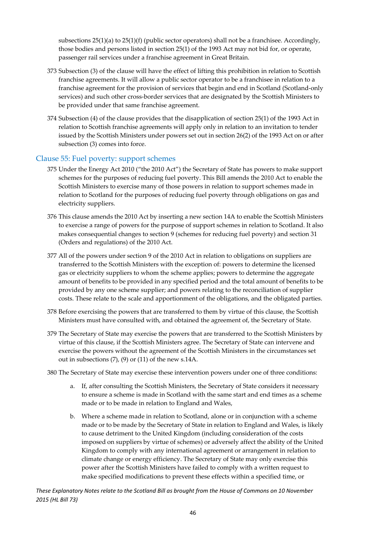subsections  $25(1)(a)$  to  $25(1)(f)$  (public sector operators) shall not be a franchisee. Accordingly, those bodies and persons listed in section 25(1) of the 1993 Act may not bid for, or operate, passenger rail services under a franchise agreement in Great Britain.

- 373 Subsection (3) of the clause will have the effect of lifting this prohibition in relation to Scottish franchise agreements. It will allow a public sector operator to be a franchisee in relation to a franchise agreement for the provision of services that begin and end in Scotland (Scotland‐only services) and such other cross-border services that are designated by the Scottish Ministers to be provided under that same franchise agreement.
- 374 Subsection (4) of the clause provides that the disapplication of section 25(1) of the 1993 Act in relation to Scottish franchise agreements will apply only in relation to an invitation to tender issued by the Scottish Ministers under powers set out in section 26(2) of the 1993 Act on or after subsection (3) comes into force.

#### Clause 55: Fuel poverty: support schemes

- 375 Under the Energy Act 2010 ("the 2010 Act") the Secretary of State has powers to make support schemes for the purposes of reducing fuel poverty. This Bill amends the 2010 Act to enable the Scottish Ministers to exercise many of those powers in relation to support schemes made in relation to Scotland for the purposes of reducing fuel poverty through obligations on gas and electricity suppliers.
- 376 This clause amends the 2010 Act by inserting a new section 14A to enable the Scottish Ministers to exercise a range of powers for the purpose of support schemes in relation to Scotland. It also makes consequential changes to section 9 (schemes for reducing fuel poverty) and section 31 (Orders and regulations) of the 2010 Act.
- 377 All of the powers under section 9 of the 2010 Act in relation to obligations on suppliers are transferred to the Scottish Ministers with the exception of: powers to determine the licensed gas or electricity suppliers to whom the scheme applies; powers to determine the aggregate amount of benefits to be provided in any specified period and the total amount of benefits to be provided by any one scheme supplier; and powers relating to the reconciliation of supplier costs. These relate to the scale and apportionment of the obligations, and the obligated parties.
- 378 Before exercising the powers that are transferred to them by virtue of this clause, the Scottish Ministers must have consulted with, and obtained the agreement of, the Secretary of State.
- 379 The Secretary of State may exercise the powers that are transferred to the Scottish Ministers by virtue of this clause, if the Scottish Ministers agree. The Secretary of State can intervene and exercise the powers without the agreement of the Scottish Ministers in the circumstances set out in subsections (7), (9) or (11) of the new s.14A.
- 380 The Secretary of State may exercise these intervention powers under one of three conditions:
	- a. If, after consulting the Scottish Ministers, the Secretary of State considers it necessary to ensure a scheme is made in Scotland with the same start and end times as a scheme made or to be made in relation to England and Wales,
	- b. Where a scheme made in relation to Scotland, alone or in conjunction with a scheme made or to be made by the Secretary of State in relation to England and Wales, is likely to cause detriment to the United Kingdom (including consideration of the costs imposed on suppliers by virtue of schemes) or adversely affect the ability of the United Kingdom to comply with any international agreement or arrangement in relation to climate change or energy efficiency. The Secretary of State may only exercise this power after the Scottish Ministers have failed to comply with a written request to make specified modifications to prevent these effects within a specified time, or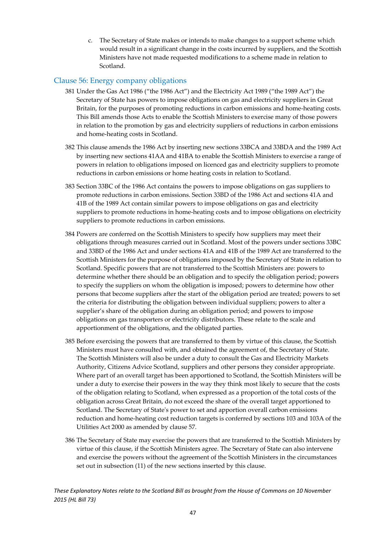c. The Secretary of State makes or intends to make changes to a support scheme which would result in a significant change in the costs incurred by suppliers, and the Scottish Ministers have not made requested modifications to a scheme made in relation to Scotland.

#### Clause 56: Energy company obligations

- 381 Under the Gas Act 1986 ("the 1986 Act") and the Electricity Act 1989 ("the 1989 Act") the Secretary of State has powers to impose obligations on gas and electricity suppliers in Great Britain, for the purposes of promoting reductions in carbon emissions and home-heating costs. This Bill amends those Acts to enable the Scottish Ministers to exercise many of those powers in relation to the promotion by gas and electricity suppliers of reductions in carbon emissions and home‐heating costs in Scotland.
- 382 This clause amends the 1986 Act by inserting new sections 33BCA and 33BDA and the 1989 Act by inserting new sections 41AA and 41BA to enable the Scottish Ministers to exercise a range of powers in relation to obligations imposed on licenced gas and electricity suppliers to promote reductions in carbon emissions or home heating costs in relation to Scotland.
- 383 Section 33BC of the 1986 Act contains the powers to impose obligations on gas suppliers to promote reductions in carbon emissions. Section 33BD of the 1986 Act and sections 41A and 41B of the 1989 Act contain similar powers to impose obligations on gas and electricity suppliers to promote reductions in home-heating costs and to impose obligations on electricity suppliers to promote reductions in carbon emissions.
- 384 Powers are conferred on the Scottish Ministers to specify how suppliers may meet their obligations through measures carried out in Scotland. Most of the powers under sections 33BC and 33BD of the 1986 Act and under sections 41A and 41B of the 1989 Act are transferred to the Scottish Ministers for the purpose of obligations imposed by the Secretary of State in relation to Scotland. Specific powers that are not transferred to the Scottish Ministers are: powers to determine whether there should be an obligation and to specify the obligation period; powers to specify the suppliers on whom the obligation is imposed; powers to determine how other persons that become suppliers after the start of the obligation period are treated; powers to set the criteria for distributing the obligation between individual suppliers; powers to alter a supplier's share of the obligation during an obligation period; and powers to impose obligations on gas transporters or electricity distributors. These relate to the scale and apportionment of the obligations, and the obligated parties.
- 385 Before exercising the powers that are transferred to them by virtue of this clause, the Scottish Ministers must have consulted with, and obtained the agreement of, the Secretary of State. The Scottish Ministers will also be under a duty to consult the Gas and Electricity Markets Authority, Citizens Advice Scotland, suppliers and other persons they consider appropriate. Where part of an overall target has been apportioned to Scotland, the Scottish Ministers will be under a duty to exercise their powers in the way they think most likely to secure that the costs of the obligation relating to Scotland, when expressed as a proportion of the total costs of the obligation across Great Britain, do not exceed the share of the overall target apportioned to Scotland. The Secretary of Stateʹs power to set and apportion overall carbon emissions reduction and home-heating cost reduction targets is conferred by sections 103 and 103A of the Utilities Act 2000 as amended by clause 57.
- 386 The Secretary of State may exercise the powers that are transferred to the Scottish Ministers by virtue of this clause, if the Scottish Ministers agree. The Secretary of State can also intervene and exercise the powers without the agreement of the Scottish Ministers in the circumstances set out in subsection (11) of the new sections inserted by this clause.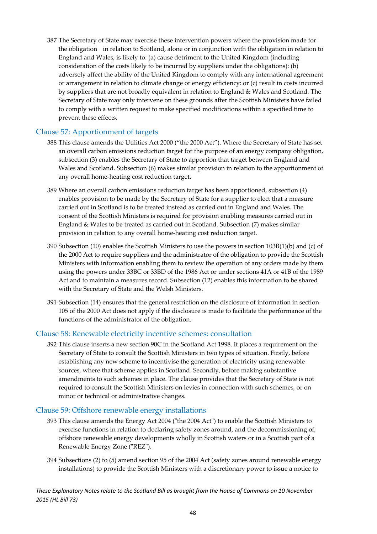387 The Secretary of State may exercise these intervention powers where the provision made for the obligation in relation to Scotland, alone or in conjunction with the obligation in relation to England and Wales, is likely to: (a) cause detriment to the United Kingdom (including consideration of the costs likely to be incurred by suppliers under the obligations): (b) adversely affect the ability of the United Kingdom to comply with any international agreement or arrangement in relation to climate change or energy efficiency: or (c) result in costs incurred by suppliers that are not broadly equivalent in relation to England & Wales and Scotland. The Secretary of State may only intervene on these grounds after the Scottish Ministers have failed to comply with a written request to make specified modifications within a specified time to prevent these effects.

#### Clause 57: Apportionment of targets

- 388 This clause amends the Utilities Act 2000 ("the 2000 Act"). Where the Secretary of State has set an overall carbon emissions reduction target for the purpose of an energy company obligation, subsection (3) enables the Secretary of State to apportion that target between England and Wales and Scotland. Subsection (6) makes similar provision in relation to the apportionment of any overall home‐heating cost reduction target.
- 389 Where an overall carbon emissions reduction target has been apportioned, subsection (4) enables provision to be made by the Secretary of State for a supplier to elect that a measure carried out in Scotland is to be treated instead as carried out in England and Wales. The consent of the Scottish Ministers is required for provision enabling measures carried out in England & Wales to be treated as carried out in Scotland. Subsection (7) makes similar provision in relation to any overall home‐heating cost reduction target.
- 390 Subsection (10) enables the Scottish Ministers to use the powers in section 103B(1)(b) and (c) of the 2000 Act to require suppliers and the administrator of the obligation to provide the Scottish Ministers with information enabling them to review the operation of any orders made by them using the powers under 33BC or 33BD of the 1986 Act or under sections 41A or 41B of the 1989 Act and to maintain a measures record. Subsection (12) enables this information to be shared with the Secretary of State and the Welsh Ministers.
- 391 Subsection (14) ensures that the general restriction on the disclosure of information in section 105 of the 2000 Act does not apply if the disclosure is made to facilitate the performance of the functions of the administrator of the obligation.

#### Clause 58: Renewable electricity incentive schemes: consultation

392 This clause inserts a new section 90C in the Scotland Act 1998. It places a requirement on the Secretary of State to consult the Scottish Ministers in two types of situation. Firstly, before establishing any new scheme to incentivise the generation of electricity using renewable sources, where that scheme applies in Scotland. Secondly, before making substantive amendments to such schemes in place. The clause provides that the Secretary of State is not required to consult the Scottish Ministers on levies in connection with such schemes, or on minor or technical or administrative changes.

#### Clause 59: Offshore renewable energy installations

- 393 This clause amends the Energy Act 2004 ("the 2004 Act") to enable the Scottish Ministers to exercise functions in relation to declaring safety zones around, and the decommissioning of, offshore renewable energy developments wholly in Scottish waters or in a Scottish part of a Renewable Energy Zone ("REZ").
- 394 Subsections (2) to (5) amend section 95 of the 2004 Act (safety zones around renewable energy installations) to provide the Scottish Ministers with a discretionary power to issue a notice to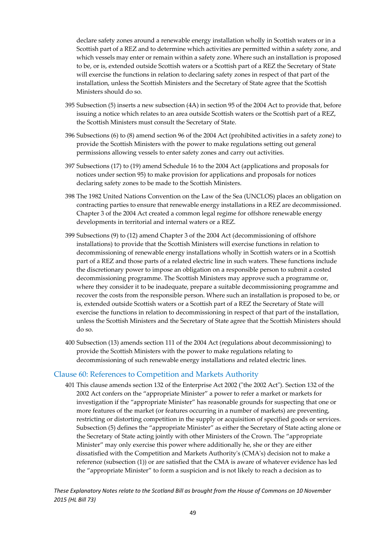declare safety zones around a renewable energy installation wholly in Scottish waters or in a Scottish part of a REZ and to determine which activities are permitted within a safety zone, and which vessels may enter or remain within a safety zone. Where such an installation is proposed to be, or is, extended outside Scottish waters or a Scottish part of a REZ the Secretary of State will exercise the functions in relation to declaring safety zones in respect of that part of the installation, unless the Scottish Ministers and the Secretary of State agree that the Scottish Ministers should do so.

- 395 Subsection (5) inserts a new subsection (4A) in section 95 of the 2004 Act to provide that, before issuing a notice which relates to an area outside Scottish waters or the Scottish part of a REZ, the Scottish Ministers must consult the Secretary of State.
- 396 Subsections (6) to (8) amend section 96 of the 2004 Act (prohibited activities in a safety zone) to provide the Scottish Ministers with the power to make regulations setting out general permissions allowing vessels to enter safety zones and carry out activities.
- 397 Subsections (17) to (19) amend Schedule 16 to the 2004 Act (applications and proposals for notices under section 95) to make provision for applications and proposals for notices declaring safety zones to be made to the Scottish Ministers.
- 398 The 1982 United Nations Convention on the Law of the Sea (UNCLOS) places an obligation on contracting parties to ensure that renewable energy installations in a REZ are decommissioned. Chapter 3 of the 2004 Act created a common legal regime for offshore renewable energy developments in territorial and internal waters or a REZ.
- 399 Subsections (9) to (12) amend Chapter 3 of the 2004 Act (decommissioning of offshore installations) to provide that the Scottish Ministers will exercise functions in relation to decommissioning of renewable energy installations wholly in Scottish waters or in a Scottish part of a REZ and those parts of a related electric line in such waters. These functions include the discretionary power to impose an obligation on a responsible person to submit a costed decommissioning programme. The Scottish Ministers may approve such a programme or, where they consider it to be inadequate, prepare a suitable decommissioning programme and recover the costs from the responsible person. Where such an installation is proposed to be, or is, extended outside Scottish waters or a Scottish part of a REZ the Secretary of State will exercise the functions in relation to decommissioning in respect of that part of the installation, unless the Scottish Ministers and the Secretary of State agree that the Scottish Ministers should do so.
- 400 Subsection (13) amends section 111 of the 2004 Act (regulations about decommissioning) to provide the Scottish Ministers with the power to make regulations relating to decommissioning of such renewable energy installations and related electric lines.

#### Clause 60: References to Competition and Markets Authority

401 This clause amends section 132 of the Enterprise Act 2002 ("the 2002 Act"). Section 132 of the 2002 Act confers on the "appropriate Minister" a power to refer a market or markets for investigation if the "appropriate Minister" has reasonable grounds for suspecting that one or more features of the market (or features occurring in a number of markets) are preventing, restricting or distorting competition in the supply or acquisition of specified goods or services. Subsection (5) defines the "appropriate Minister" as either the Secretary of State acting alone or the Secretary of State acting jointly with other Ministers of the Crown. The "appropriate Minister" may only exercise this power where additionally he, she or they are either dissatisfied with the Competition and Markets Authorityʹs (CMAʹs) decision not to make a reference (subsection (1)) or are satisfied that the CMA is aware of whatever evidence has led the "appropriate Minister" to form a suspicion and is not likely to reach a decision as to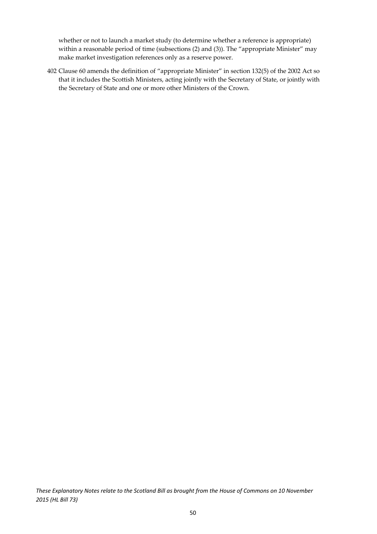whether or not to launch a market study (to determine whether a reference is appropriate) within a reasonable period of time (subsections (2) and (3)). The "appropriate Minister" may make market investigation references only as a reserve power.

402 Clause 60 amends the definition of "appropriate Minister" in section 132(5) of the 2002 Act so that it includes the Scottish Ministers, acting jointly with the Secretary of State, or jointly with the Secretary of State and one or more other Ministers of the Crown.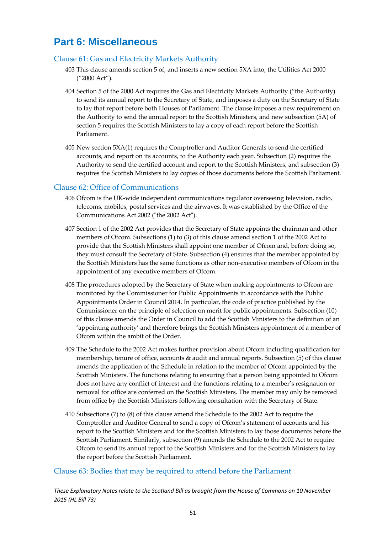### **Part 6: Miscellaneous**

#### Clause 61: Gas and Electricity Markets Authority

- 403 This clause amends section 5 of, and inserts a new section 5XA into, the Utilities Act 2000 ("2000 Act").
- 404 Section 5 of the 2000 Act requires the Gas and Electricity Markets Authority ("the Authority) to send its annual report to the Secretary of State, and imposes a duty on the Secretary of State to lay that report before both Houses of Parliament. The clause imposes a new requirement on the Authority to send the annual report to the Scottish Ministers, and new subsection (5A) of section 5 requires the Scottish Ministers to lay a copy of each report before the Scottish Parliament.
- 405 New section 5XA(1) requires the Comptroller and Auditor Generals to send the certified accounts, and report on its accounts, to the Authority each year. Subsection (2) requires the Authority to send the certified account and report to the Scottish Ministers, and subsection (3) requires the Scottish Ministers to lay copies of those documents before the Scottish Parliament.

#### Clause 62: Office of Communications

- 406 Ofcom is the UK‐wide independent communications regulator overseeing television, radio, telecoms, mobiles, postal services and the airwaves. It was established by the Office of the Communications Act 2002 ("the 2002 Act").
- 407 Section 1 of the 2002 Act provides that the Secretary of State appoints the chairman and other members of Ofcom. Subsections (1) to (3) of this clause amend section 1 of the 2002 Act to provide that the Scottish Ministers shall appoint one member of Ofcom and, before doing so, they must consult the Secretary of State. Subsection (4) ensures that the member appointed by the Scottish Ministers has the same functions as other non‐executive members of Ofcom in the appointment of any executive members of Ofcom.
- 408 The procedures adopted by the Secretary of State when making appointments to Ofcom are monitored by the Commissioner for Public Appointments in accordance with the Public Appointments Order in Council 2014. In particular, the code of practice published by the Commissioner on the principle of selection on merit for public appointments. Subsection (10) of this clause amends the Order in Council to add the Scottish Ministers to the definition of an 'appointing authority' and therefore brings the Scottish Ministers appointment of a member of Ofcom within the ambit of the Order.
- 409 The Schedule to the 2002 Act makes further provision about Ofcom including qualification for membership, tenure of office, accounts & audit and annual reports. Subsection (5) of this clause amends the application of the Schedule in relation to the member of Ofcom appointed by the Scottish Ministers. The functions relating to ensuring that a person being appointed to Ofcom does not have any conflict of interest and the functions relating to a member's resignation or removal for office are conferred on the Scottish Ministers. The member may only be removed from office by the Scottish Ministers following consultation with the Secretary of State.
- 410 Subsections (7) to (8) of this clause amend the Schedule to the 2002 Act to require the Comptroller and Auditor General to send a copy of Ofcom's statement of accounts and his report to the Scottish Ministers and for the Scottish Ministers to lay those documents before the Scottish Parliament. Similarly, subsection (9) amends the Schedule to the 2002 Act to require Ofcom to send its annual report to the Scottish Ministers and for the Scottish Ministers to lay the report before the Scottish Parliament.

#### Clause 63: Bodies that may be required to attend before the Parliament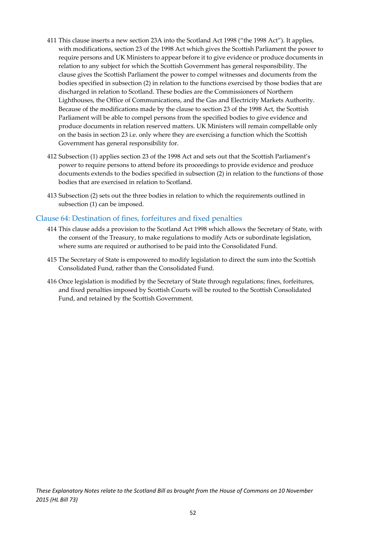- 411 This clause inserts a new section 23A into the Scotland Act 1998 ("the 1998 Act"). It applies, with modifications, section 23 of the 1998 Act which gives the Scottish Parliament the power to require persons and UK Ministers to appear before it to give evidence or produce documents in relation to any subject for which the Scottish Government has general responsibility. The clause gives the Scottish Parliament the power to compel witnesses and documents from the bodies specified in subsection (2) in relation to the functions exercised by those bodies that are discharged in relation to Scotland. These bodies are the Commissioners of Northern Lighthouses, the Office of Communications, and the Gas and Electricity Markets Authority. Because of the modifications made by the clause to section 23 of the 1998 Act, the Scottish Parliament will be able to compel persons from the specified bodies to give evidence and produce documents in relation reserved matters. UK Ministers will remain compellable only on the basis in section 23 i.e. only where they are exercising a function which the Scottish Government has general responsibility for.
- 412 Subsection (1) applies section 23 of the 1998 Act and sets out that the Scottish Parliament's power to require persons to attend before its proceedings to provide evidence and produce documents extends to the bodies specified in subsection (2) in relation to the functions of those bodies that are exercised in relation to Scotland.
- 413 Subsection (2) sets out the three bodies in relation to which the requirements outlined in subsection (1) can be imposed.

#### Clause 64: Destination of fines, forfeitures and fixed penalties

- 414 This clause adds a provision to the Scotland Act 1998 which allows the Secretary of State, with the consent of the Treasury, to make regulations to modify Acts or subordinate legislation, where sums are required or authorised to be paid into the Consolidated Fund.
- 415 The Secretary of State is empowered to modify legislation to direct the sum into the Scottish Consolidated Fund, rather than the Consolidated Fund.
- 416 Once legislation is modified by the Secretary of State through regulations; fines, forfeitures, and fixed penalties imposed by Scottish Courts will be routed to the Scottish Consolidated Fund, and retained by the Scottish Government.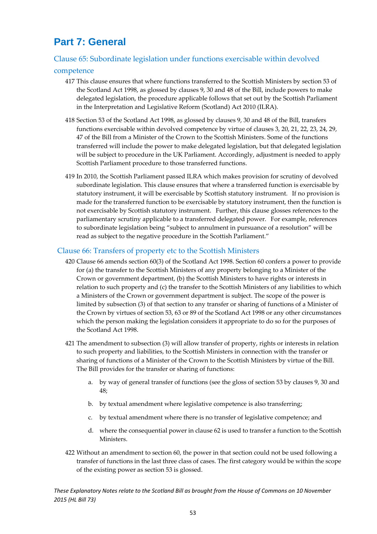## **Part 7: General**

#### Clause 65: Subordinate legislation under functions exercisable within devolved

#### competence

- 417 This clause ensures that where functions transferred to the Scottish Ministers by section 53 of the Scotland Act 1998, as glossed by clauses 9, 30 and 48 of the Bill, include powers to make delegated legislation, the procedure applicable follows that set out by the Scottish Parliament in the Interpretation and Legislative Reform (Scotland) Act 2010 (ILRA).
- 418 Section 53 of the Scotland Act 1998, as glossed by clauses 9, 30 and 48 of the Bill, transfers functions exercisable within devolved competence by virtue of clauses 3, 20, 21, 22, 23, 24, 29, 47 of the Bill from a Minister of the Crown to the Scottish Ministers. Some of the functions transferred will include the power to make delegated legislation, but that delegated legislation will be subject to procedure in the UK Parliament. Accordingly, adjustment is needed to apply Scottish Parliament procedure to those transferred functions.
- 419 In 2010, the Scottish Parliament passed ILRA which makes provision for scrutiny of devolved subordinate legislation. This clause ensures that where a transferred function is exercisable by statutory instrument, it will be exercisable by Scottish statutory instrument. If no provision is made for the transferred function to be exercisable by statutory instrument, then the function is not exercisable by Scottish statutory instrument. Further, this clause glosses references to the parliamentary scrutiny applicable to a transferred delegated power. For example, references to subordinate legislation being "subject to annulment in pursuance of a resolution" will be read as subject to the negative procedure in the Scottish Parliament."

#### Clause 66: Transfers of property etc to the Scottish Ministers

- 420 Clause 66 amends section 60(3) of the Scotland Act 1998. Section 60 confers a power to provide for (a) the transfer to the Scottish Ministers of any property belonging to a Minister of the Crown or government department, (b) the Scottish Ministers to have rights or interests in relation to such property and (c) the transfer to the Scottish Ministers of any liabilities to which a Ministers of the Crown or government department is subject. The scope of the power is limited by subsection (3) of that section to any transfer or sharing of functions of a Minister of the Crown by virtues of section 53, 63 or 89 of the Scotland Act 1998 or any other circumstances which the person making the legislation considers it appropriate to do so for the purposes of the Scotland Act 1998.
- 421 The amendment to subsection (3) will allow transfer of property, rights or interests in relation to such property and liabilities, to the Scottish Ministers in connection with the transfer or sharing of functions of a Minister of the Crown to the Scottish Ministers by virtue of the Bill. The Bill provides for the transfer or sharing of functions:
	- a. by way of general transfer of functions (see the gloss of section 53 by clauses 9, 30 and 48;
	- b. by textual amendment where legislative competence is also transferring;
	- c. by textual amendment where there is no transfer of legislative competence; and
	- d. where the consequential power in clause 62 is used to transfer a function to the Scottish Ministers.
- 422 Without an amendment to section 60, the power in that section could not be used following a transfer of functions in the last three class of cases. The first category would be within the scope of the existing power as section 53 is glossed.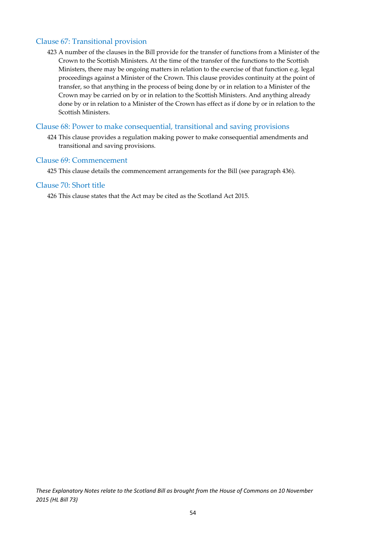#### Clause 67: Transitional provision

423 A number of the clauses in the Bill provide for the transfer of functions from a Minister of the Crown to the Scottish Ministers. At the time of the transfer of the functions to the Scottish Ministers, there may be ongoing matters in relation to the exercise of that function e.g. legal proceedings against a Minister of the Crown. This clause provides continuity at the point of transfer, so that anything in the process of being done by or in relation to a Minister of the Crown may be carried on by or in relation to the Scottish Ministers. And anything already done by or in relation to a Minister of the Crown has effect as if done by or in relation to the Scottish Ministers.

#### Clause 68: Power to make consequential, transitional and saving provisions

424 This clause provides a regulation making power to make consequential amendments and transitional and saving provisions.

#### Clause 69: Commencement

425 This clause details the commencement arrangements for the Bill (see paragraph 436).

#### Clause 70: Short title

426 This clause states that the Act may be cited as the Scotland Act 2015.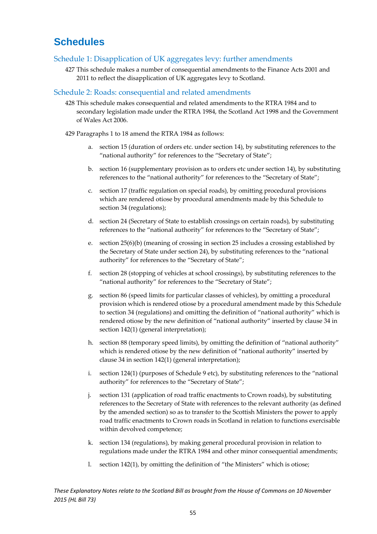### **Schedules**

#### Schedule 1: Disapplication of UK aggregates levy: further amendments

427 This schedule makes a number of consequential amendments to the Finance Acts 2001 and 2011 to reflect the disapplication of UK aggregates levy to Scotland.

#### Schedule 2: Roads: consequential and related amendments

428 This schedule makes consequential and related amendments to the RTRA 1984 and to secondary legislation made under the RTRA 1984, the Scotland Act 1998 and the Government of Wales Act 2006.

429 Paragraphs 1 to 18 amend the RTRA 1984 as follows:

- a. section 15 (duration of orders etc. under section 14), by substituting references to the "national authority" for references to the "Secretary of State";
- b. section 16 (supplementary provision as to orders etc under section 14), by substituting references to the "national authority" for references to the "Secretary of State";
- c. section 17 (traffic regulation on special roads), by omitting procedural provisions which are rendered otiose by procedural amendments made by this Schedule to section 34 (regulations);
- d. section 24 (Secretary of State to establish crossings on certain roads), by substituting references to the "national authority" for references to the "Secretary of State";
- e. section 25(6)(b) (meaning of crossing in section 25 includes a crossing established by the Secretary of State under section 24), by substituting references to the "national authority" for references to the "Secretary of State";
- f. section 28 (stopping of vehicles at school crossings), by substituting references to the "national authority" for references to the "Secretary of State";
- g. section 86 (speed limits for particular classes of vehicles), by omitting a procedural provision which is rendered otiose by a procedural amendment made by this Schedule to section 34 (regulations) and omitting the definition of "national authority" which is rendered otiose by the new definition of "national authority" inserted by clause 34 in section 142(1) (general interpretation);
- h. section 88 (temporary speed limits), by omitting the definition of "national authority" which is rendered otiose by the new definition of "national authority" inserted by clause 34 in section 142(1) (general interpretation);
- i. section 124(1) (purposes of Schedule 9 etc), by substituting references to the "national authority" for references to the "Secretary of State";
- j. section 131 (application of road traffic enactments to Crown roads), by substituting references to the Secretary of State with references to the relevant authority (as defined by the amended section) so as to transfer to the Scottish Ministers the power to apply road traffic enactments to Crown roads in Scotland in relation to functions exercisable within devolved competence;
- k. section 134 (regulations), by making general procedural provision in relation to regulations made under the RTRA 1984 and other minor consequential amendments;
- l. section 142(1), by omitting the definition of "the Ministers" which is otiose;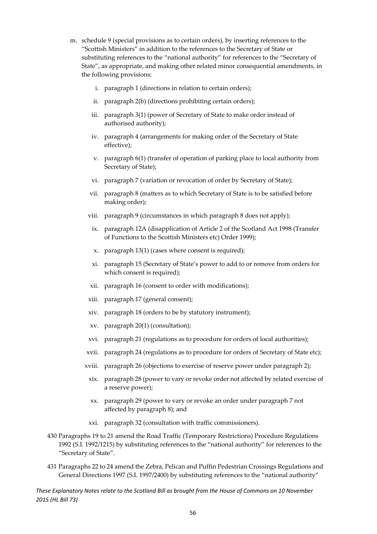- m. schedule 9 (special provisions as to certain orders), by inserting references to the "Scottish Ministers" in addition to the references to the Secretary of State or substituting references to the "national authority" for references to the "Secretary of State", as appropriate, and making other related minor consequential amendments, in the following provisions:
	- i. paragraph 1 (directions in relation to certain orders);
	- ii. paragraph 2(b) (directions prohibiting certain orders);
	- iii. paragraph 3(1) (power of Secretary of State to make order instead of authorised authority);
	- iv. paragraph 4 (arrangements for making order of the Secretary of State effective);
	- v. paragraph 6(1) (transfer of operation of parking place to local authority from Secretary of State);
	- vi. paragraph 7 (variation or revocation of order by Secretary of State);
	- vii. paragraph 8 (matters as to which Secretary of State is to be satisfied before making order);
	- viii. paragraph 9 (circumstances in which paragraph 8 does not apply);
	- ix. paragraph 12A (disapplication of Article 2 of the Scotland Act 1998 (Transfer of Functions to the Scottish Ministers etc) Order 1999);
	- x. paragraph 13(1) (cases where consent is required);
	- xi. paragraph 15 (Secretary of State's power to add to or remove from orders for which consent is required);
	- xii. paragraph 16 (consent to order with modifications);
	- xiii. paragraph 17 (general consent);
	- xiv. paragraph 18 (orders to be by statutory instrument);
	- xv. paragraph 20(1) (consultation);
	- xvi. paragraph 21 (regulations as to procedure for orders of local authorities);
	- xvii. paragraph 24 (regulations as to procedure for orders of Secretary of State etc);
	- xviii. paragraph 26 (objections to exercise of reserve power under paragraph 2);
		- xix. paragraph 28 (power to vary or revoke order not affected by related exercise of a reserve power);
		- xx. paragraph 29 (power to vary or revoke an order under paragraph 7 not affected by paragraph 8); and
	- xxi. paragraph 32 (consultation with traffic commissioners).
- 430 Paragraphs 19 to 21 amend the Road Traffic (Temporary Restrictions) Procedure Regulations 1992 (S.I. 1992/1215) by substituting references to the "national authority" for references to the "Secretary of State".
- 431 Paragraphs 22 to 24 amend the Zebra, Pelican and Puffin Pedestrian Crossings Regulations and General Directions 1997 (S.I. 1997/2400) by substituting references to the "national authority"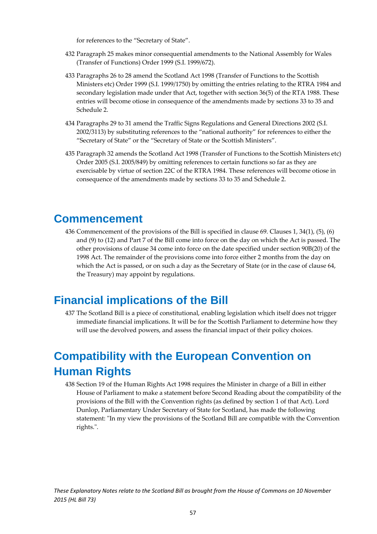for references to the "Secretary of State".

- 432 Paragraph 25 makes minor consequential amendments to the National Assembly for Wales (Transfer of Functions) Order 1999 (S.I. 1999/672).
- 433 Paragraphs 26 to 28 amend the Scotland Act 1998 (Transfer of Functions to the Scottish Ministers etc) Order 1999 (S.I. 1999/1750) by omitting the entries relating to the RTRA 1984 and secondary legislation made under that Act, together with section 36(5) of the RTA 1988. These entries will become otiose in consequence of the amendments made by sections 33 to 35 and Schedule 2.
- 434 Paragraphs 29 to 31 amend the Traffic Signs Regulations and General Directions 2002 (S.I. 2002/3113) by substituting references to the "national authority" for references to either the "Secretary of State" or the "Secretary of State or the Scottish Ministers".
- 435 Paragraph 32 amends the Scotland Act 1998 (Transfer of Functions to the Scottish Ministers etc) Order 2005 (S.I. 2005/849) by omitting references to certain functions so far as they are exercisable by virtue of section 22C of the RTRA 1984. These references will become otiose in consequence of the amendments made by sections 33 to 35 and Schedule 2.

### **Commencement**

436 Commencement of the provisions of the Bill is specified in clause 69. Clauses 1, 34(1), (5), (6) and (9) to (12) and Part 7 of the Bill come into force on the day on which the Act is passed. The other provisions of clause 34 come into force on the date specified under section 90B(20) of the 1998 Act. The remainder of the provisions come into force either 2 months from the day on which the Act is passed, or on such a day as the Secretary of State (or in the case of clause 64, the Treasury) may appoint by regulations.

## **Financial implications of the Bill**

437 The Scotland Bill is a piece of constitutional, enabling legislation which itself does not trigger immediate financial implications. It will be for the Scottish Parliament to determine how they will use the devolved powers, and assess the financial impact of their policy choices.

## **Compatibility with the European Convention on Human Rights**

438 Section 19 of the Human Rights Act 1998 requires the Minister in charge of a Bill in either House of Parliament to make a statement before Second Reading about the compatibility of the provisions of the Bill with the Convention rights (as defined by section 1 of that Act). Lord Dunlop, Parliamentary Under Secretary of State for Scotland, has made the following statement: "In my view the provisions of the Scotland Bill are compatible with the Convention rights.".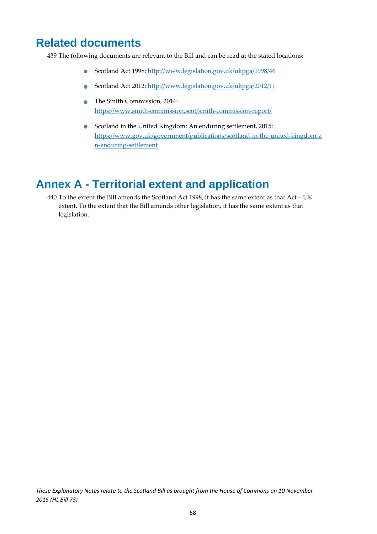## **Related documents**

439 The following documents are relevant to the Bill and can be read at the stated locations:

- Scotland Act 1998: http://www.legislation.gov.uk/ukpga/1998/46
- Scotland Act 2012: http://www.legislation.gov.uk/ukpga/2012/11
- The Smith Commission, 2014: https://www.smith‐commission.scot/smith‐commission‐report/
- Scotland in the United Kingdom: An enduring settlement, 2015: https://www.gov.uk/government/publications/scotland‐in‐the‐united‐kingdom‐a n‐enduring‐settlement

## **Annex A - Territorial extent and application**

440 To the extent the Bill amends the Scotland Act 1998, it has the same extent as that Act – UK extent. To the extent that the Bill amends other legislation, it has the same extent as that legislation.